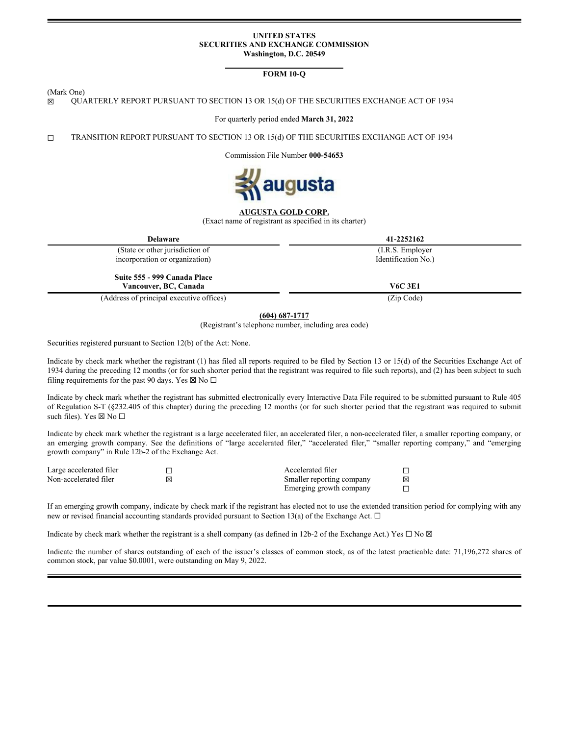#### **UNITED STATES SECURITIES AND EXCHANGE COMMISSION Washington, D.C. 20549**

# **FORM 10-Q**

(Mark One)

☒ QUARTERLY REPORT PURSUANT TO SECTION 13 OR 15(d) OF THE SECURITIES EXCHANGE ACT OF 1934

### For quarterly period ended **March 31, 2022**

☐ TRANSITION REPORT PURSUANT TO SECTION 13 OR 15(d) OF THE SECURITIES EXCHANGE ACT OF 1934

Commission File Number **000-54653**



# **AUGUSTA GOLD CORP.**

(Exact name of registrant as specified in its charter)

| <b>Delaware</b>                                       | 41-2252162          |
|-------------------------------------------------------|---------------------|
| (State or other jurisdiction of                       | (I.R.S. Employer)   |
| incorporation or organization)                        | Identification No.) |
| Suite 555 - 999 Canada Place<br>Vancouver, BC, Canada | <b>V6C 3E1</b>      |
| (Address of principal executive offices)              | (Zip Code)          |

#### **(604) 687-1717**

(Registrant's telephone number, including area code)

Securities registered pursuant to Section 12(b) of the Act: None.

Indicate by check mark whether the registrant (1) has filed all reports required to be filed by Section 13 or 15(d) of the Securities Exchange Act of 1934 during the preceding 12 months (or for such shorter period that the registrant was required to file such reports), and (2) has been subject to such filing requirements for the past 90 days. Yes  $\boxtimes$  No  $\Box$ 

Indicate by check mark whether the registrant has submitted electronically every Interactive Data File required to be submitted pursuant to Rule 405 of Regulation S-T (§232.405 of this chapter) during the preceding 12 months (or for such shorter period that the registrant was required to submit such files). Yes  $\boxtimes$  No  $\square$ 

Indicate by check mark whether the registrant is a large accelerated filer, an accelerated filer, a non-accelerated filer, a smaller reporting company, or an emerging growth company. See the definitions of "large accelerated filer," "accelerated filer," "smaller reporting company," and "emerging growth company" in Rule 12b-2 of the Exchange Act.

| Large accelerated filer |    | Accelerated filer         |  |
|-------------------------|----|---------------------------|--|
| Non-accelerated filer   | ΙX | Smaller reporting company |  |
|                         |    | Emerging growth company   |  |

If an emerging growth company, indicate by check mark if the registrant has elected not to use the extended transition period for complying with any new or revised financial accounting standards provided pursuant to Section 13(a) of the Exchange Act. □

Indicate by check mark whether the registrant is a shell company (as defined in 12b-2 of the Exchange Act.) Yes  $\Box$  No  $\boxtimes$ 

Indicate the number of shares outstanding of each of the issuer's classes of common stock, as of the latest practicable date: 71,196,272 shares of common stock, par value \$0.0001, were outstanding on May 9, 2022.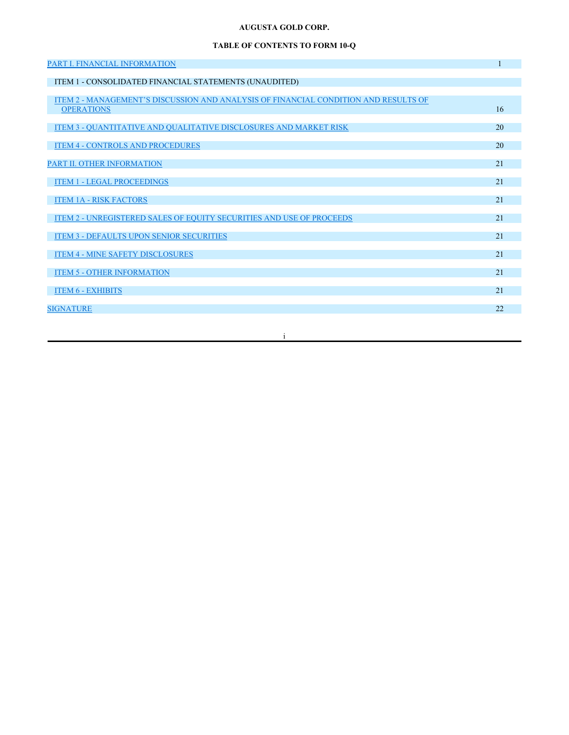# **AUGUSTA GOLD CORP.**

# **TABLE OF CONTENTS TO FORM 10-Q**

| PART I. FINANCIAL INFORMATION                                                                            | $\overline{1}$ |
|----------------------------------------------------------------------------------------------------------|----------------|
| ITEM 1 - CONSOLIDATED FINANCIAL STATEMENTS (UNAUDITED)                                                   |                |
| ITEM 2 - MANAGEMENT'S DISCUSSION AND ANALYSIS OF FINANCIAL CONDITION AND RESULTS OF<br><b>OPERATIONS</b> | 16             |
| <b>ITEM 3 - QUANTITATIVE AND QUALITATIVE DISCLOSURES AND MARKET RISK</b>                                 | 20             |
| <b>ITEM 4 - CONTROLS AND PROCEDURES</b>                                                                  | 20             |
| <b>PART II. OTHER INFORMATION</b>                                                                        | 21             |
| <b>ITEM 1 - LEGAL PROCEEDINGS</b>                                                                        | 21             |
| <b>ITEM 1A - RISK FACTORS</b>                                                                            | 21             |
| ITEM 2 - UNREGISTERED SALES OF EQUITY SECURITIES AND USE OF PROCEEDS                                     | 21             |
| ITEM 3 - DEFAULTS UPON SENIOR SECURITIES                                                                 | 2.1            |
| <b>ITEM 4 - MINE SAFETY DISCLOSURES</b>                                                                  | 21             |
| <b>ITEM 5 - OTHER INFORMATION</b>                                                                        | 21             |
| <b>ITEM 6 - EXHIBITS</b>                                                                                 | 21             |
| <b>SIGNATURE</b>                                                                                         | 22             |
|                                                                                                          |                |

i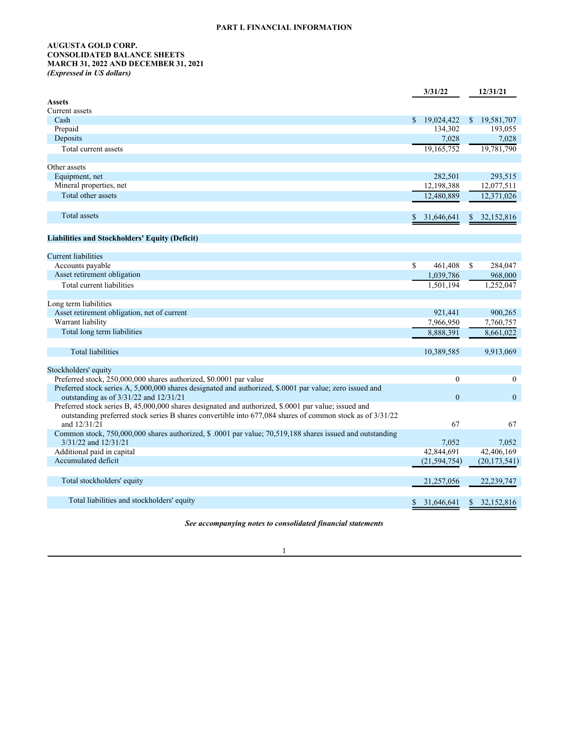## **AUGUSTA GOLD CORP. CONSOLIDATED BALANCE SHEETS MARCH 31, 2022 AND DECEMBER 31, 2021** *(Expressed in US dollars)*

|                                                                                                                                                        |    | 3/31/22        |    | 12/31/21       |
|--------------------------------------------------------------------------------------------------------------------------------------------------------|----|----------------|----|----------------|
| <b>Assets</b>                                                                                                                                          |    |                |    |                |
| Current assets                                                                                                                                         |    |                |    |                |
| Cash                                                                                                                                                   | \$ | 19,024,422     | \$ | 19,581,707     |
| Prepaid                                                                                                                                                |    | 134,302        |    | 193,055        |
| Deposits                                                                                                                                               |    | 7,028          |    | 7,028          |
| Total current assets                                                                                                                                   |    | 19,165,752     |    | 19,781,790     |
| Other assets                                                                                                                                           |    |                |    |                |
| Equipment, net                                                                                                                                         |    | 282,501        |    | 293,515        |
| Mineral properties, net                                                                                                                                |    | 12,198,388     |    | 12,077,511     |
| Total other assets                                                                                                                                     |    | 12,480,889     |    | 12,371,026     |
| <b>Total</b> assets                                                                                                                                    | S. | 31,646,641     | S. | 32,152,816     |
| <b>Liabilities and Stockholders' Equity (Deficit)</b>                                                                                                  |    |                |    |                |
|                                                                                                                                                        |    |                |    |                |
| Current liabilities                                                                                                                                    |    |                |    |                |
| Accounts payable                                                                                                                                       | \$ | 461,408        | \$ | 284,047        |
| Asset retirement obligation                                                                                                                            |    | 1,039,786      |    | 968,000        |
| Total current liabilities                                                                                                                              |    | 1,501,194      |    | 1,252,047      |
| Long term liabilities                                                                                                                                  |    |                |    |                |
| Asset retirement obligation, net of current                                                                                                            |    | 921,441        |    | 900,265        |
| Warrant liability                                                                                                                                      |    | 7,966,950      |    | 7,760,757      |
| Total long term liabilities                                                                                                                            |    | 8,888,391      |    | 8,661,022      |
|                                                                                                                                                        |    |                |    |                |
| <b>Total liabilities</b>                                                                                                                               |    | 10,389,585     |    | 9,913,069      |
| Stockholders' equity                                                                                                                                   |    |                |    |                |
| Preferred stock, 250,000,000 shares authorized, \$0.0001 par value                                                                                     |    | $\theta$       |    | $\mathbf{0}$   |
| Preferred stock series A, 5,000,000 shares designated and authorized, \$.0001 par value; zero issued and<br>outstanding as of $3/31/22$ and $12/31/21$ |    | $\overline{0}$ |    | $\Omega$       |
| Preferred stock series B, 45,000,000 shares designated and authorized, \$.0001 par value; issued and                                                   |    |                |    |                |
| outstanding preferred stock series B shares convertible into 677,084 shares of common stock as of 3/31/22<br>and 12/31/21                              |    | 67             |    | 67             |
| Common stock, 750,000,000 shares authorized, \$.0001 par value; 70,519,188 shares issued and outstanding<br>3/31/22 and 12/31/21                       |    | 7,052          |    | 7,052          |
| Additional paid in capital                                                                                                                             |    | 42,844,691     |    | 42,406,169     |
| Accumulated deficit                                                                                                                                    |    | (21, 594, 754) |    | (20, 173, 541) |
| Total stockholders' equity                                                                                                                             |    | 21,257,056     |    | 22,239,747     |
|                                                                                                                                                        |    |                |    |                |
| Total liabilities and stockholders' equity                                                                                                             | S. | 31,646,641     | \$ | 32,152,816     |

*See accompanying notes to consolidated financial statements*

1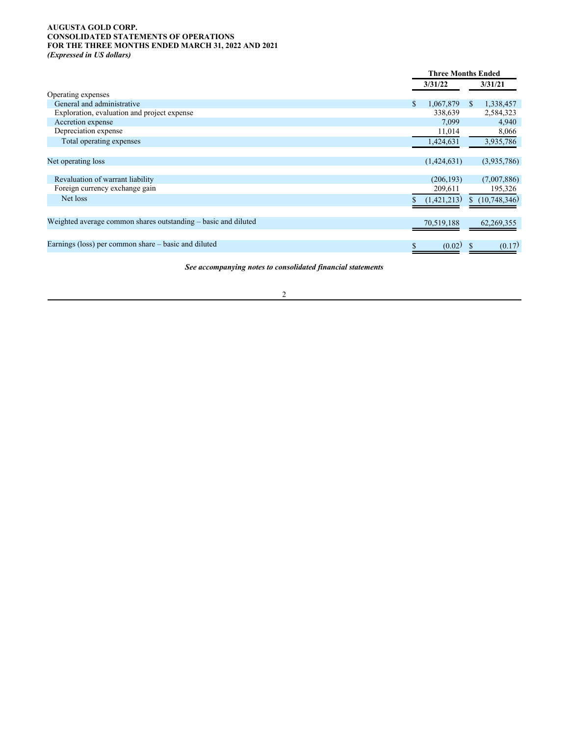# **AUGUSTA GOLD CORP. CONSOLIDATED STATEMENTS OF OPERATIONS FOR THE THREE MONTHS ENDED MARCH 31, 2022 AND 2021** *(Expressed in US dollars)*

|                                                                | <b>Three Months Ended</b> |                           |
|----------------------------------------------------------------|---------------------------|---------------------------|
|                                                                | 3/31/22                   | 3/31/21                   |
| Operating expenses                                             |                           |                           |
| General and administrative                                     | 1,067,879<br>\$           | 1,338,457<br><sup>S</sup> |
| Exploration, evaluation and project expense                    | 338,639                   | 2,584,323                 |
| Accretion expense                                              | 7,099                     | 4,940                     |
| Depreciation expense                                           | 11,014                    | 8,066                     |
| Total operating expenses                                       | 1,424,631                 | 3,935,786                 |
|                                                                |                           |                           |
| Net operating loss                                             | (1,424,631)               | (3,935,786)               |
|                                                                |                           |                           |
| Revaluation of warrant liability                               | (206, 193)                | (7,007,886)               |
| Foreign currency exchange gain                                 | 209,611                   | 195,326                   |
| Net loss                                                       | (1,421,213)               | (10,748,346)              |
|                                                                |                           |                           |
| Weighted average common shares outstanding - basic and diluted | 70,519,188                | 62,269,355                |
|                                                                |                           |                           |
| Earnings (loss) per common share - basic and diluted           | (0.02)                    | (0.17)<br><sup>\$</sup>   |
|                                                                |                           |                           |

*See accompanying notes to consolidated financial statements*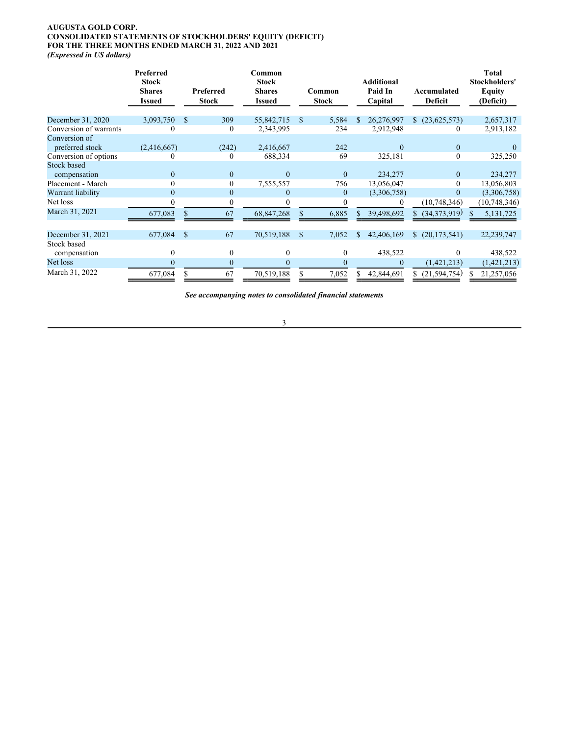# **AUGUSTA GOLD CORP. CONSOLIDATED STATEMENTS OF STOCKHOLDERS' EQUITY (DEFICIT) FOR THE THREE MONTHS ENDED MARCH 31, 2022 AND 2021** *(Expressed in US dollars)*

|                                    | Preferred<br><b>Stock</b><br><b>Shares</b><br><b>Issued</b> | Preferred<br><b>Stock</b> | Common<br><b>Stock</b><br><b>Shares</b><br>Issued |               | Common<br><b>Stock</b> |     | <b>Additional</b><br>Paid In<br>Capital |     | Accumulated<br><b>Deficit</b> | Total<br>Stockholders'<br><b>Equity</b><br>(Deficit) |
|------------------------------------|-------------------------------------------------------------|---------------------------|---------------------------------------------------|---------------|------------------------|-----|-----------------------------------------|-----|-------------------------------|------------------------------------------------------|
| December 31, 2020                  | 3,093,750                                                   | \$<br>309                 | 55,842,715                                        | <sup>\$</sup> | 5,584                  | \$. | 26,276,997                              |     | \$ (23,625,573)               | 2,657,317                                            |
| Conversion of warrants             |                                                             | $\theta$                  | 2,343,995                                         |               | 234                    |     | 2,912,948                               |     | 0                             | 2,913,182                                            |
| Conversion of<br>preferred stock   | (2,416,667)                                                 | (242)                     | 2,416,667                                         |               | 242                    |     | $\mathbf{0}$                            |     | $\mathbf{0}$                  | $\theta$                                             |
| Conversion of options              |                                                             | $\Omega$                  | 688,334                                           |               | 69                     |     | 325,181                                 |     | 0                             | 325,250                                              |
| <b>Stock based</b><br>compensation | 0                                                           | $\overline{0}$            | $\Omega$                                          |               | $\overline{0}$         |     | 234,277                                 |     | $\mathbf{0}$                  | 234,277                                              |
| Placement - March                  |                                                             | 0                         | 7,555,557                                         |               | 756                    |     | 13,056,047                              |     | 0                             | 13,056,803                                           |
| Warrant liability                  | 0                                                           | $\mathbf{0}$              | $\mathbf{0}$                                      |               | $\mathbf{0}$           |     | (3,306,758)                             |     | $\bf{0}$                      | (3,306,758)                                          |
| Net loss                           |                                                             |                           |                                                   |               | 0                      |     | $\theta$                                |     | (10,748,346)                  | (10, 748, 346)                                       |
| March 31, 2021                     | 677,083                                                     | \$<br>67                  | 68, 847, 268                                      |               | 6,885                  |     | 39,498,692                              | \$. | (34,373,919)                  | 5, 131, 725                                          |
| December 31, 2021                  | 677,084                                                     | \$<br>67                  | 70,519,188                                        | \$            | 7,052                  | \$  | 42,406,169                              |     | (20, 173, 541)                | 22,239,747                                           |
| Stock based<br>compensation        |                                                             | $\Omega$                  | 0                                                 |               | 0                      |     | 438,522                                 |     | 0                             | 438,522                                              |
| Net loss                           |                                                             | $\theta$                  | $\theta$                                          |               | $\theta$               |     | $\mathbf{0}$                            |     | (1,421,213)                   | (1,421,213)                                          |
| March 31, 2022                     | 677,084                                                     | 67                        | 70,519,188                                        |               | 7,052                  |     | 42,844,691                              |     | (21, 594, 754)                | 21,257,056                                           |

*See accompanying notes to consolidated financial statements*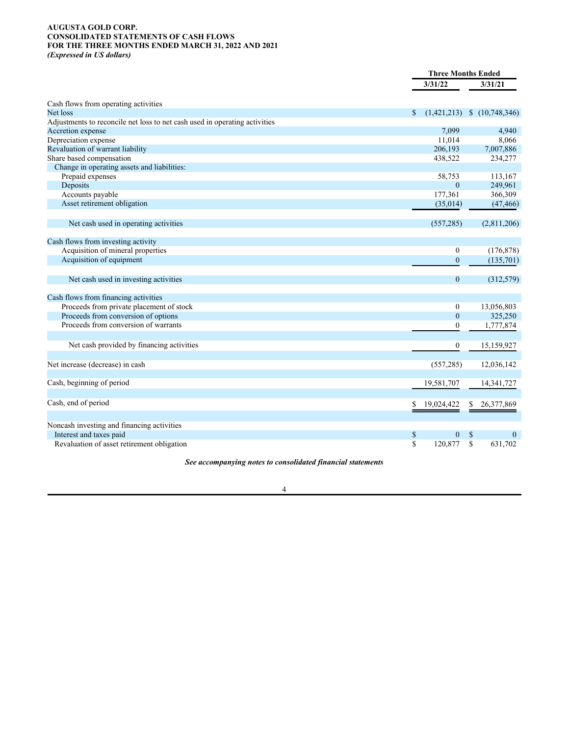# **AUGUSTA GOLD CORP. CONSOLIDATED STATEMENTS OF CASH FLOWS FOR THE THREE MONTHS ENDED MARCH 31, 2022 AND 2021** *(Expressed in US dollars)*

|                                                                            | <b>Three Months Ended</b> |                              |  |  |  |
|----------------------------------------------------------------------------|---------------------------|------------------------------|--|--|--|
|                                                                            | 3/31/22                   | 3/31/21                      |  |  |  |
| Cash flows from operating activities                                       |                           |                              |  |  |  |
| Net loss                                                                   | \$<br>(1,421,213)         | $\mathbb{S}$<br>(10,748,346) |  |  |  |
| Adjustments to reconcile net loss to net cash used in operating activities |                           |                              |  |  |  |
| Accretion expense                                                          | 7.099                     | 4,940                        |  |  |  |
| Depreciation expense                                                       | 11,014                    | 8,066                        |  |  |  |
| Revaluation of warrant liability                                           | 206,193                   | 7,007,886                    |  |  |  |
| Share based compensation                                                   | 438,522                   | 234,277                      |  |  |  |
| Change in operating assets and liabilities:                                |                           |                              |  |  |  |
| Prepaid expenses                                                           | 58,753                    | 113,167                      |  |  |  |
| Deposits                                                                   | $\theta$                  | 249,961                      |  |  |  |
| Accounts payable                                                           | 177,361                   | 366,309                      |  |  |  |
| Asset retirement obligation                                                | (35,014)                  | (47, 466)                    |  |  |  |
| Net cash used in operating activities                                      | (557, 285)                | (2,811,206)                  |  |  |  |
| Cash flows from investing activity                                         |                           |                              |  |  |  |
| Acquisition of mineral properties                                          | $\mathbf{0}$              | (176, 878)                   |  |  |  |
| Acquisition of equipment                                                   | $\boldsymbol{0}$          | (135,701)                    |  |  |  |
| Net cash used in investing activities                                      | $\mathbf{0}$              | (312,579)                    |  |  |  |
| Cash flows from financing activities                                       |                           |                              |  |  |  |
| Proceeds from private placement of stock                                   | $\overline{0}$            | 13,056,803                   |  |  |  |
| Proceeds from conversion of options                                        | $\overline{0}$            | 325,250                      |  |  |  |
| Proceeds from conversion of warrants                                       | $\mathbf{0}$              | 1,777,874                    |  |  |  |
| Net cash provided by financing activities                                  | $\boldsymbol{0}$          | 15,159,927                   |  |  |  |
| Net increase (decrease) in cash                                            | (557, 285)                | 12,036,142                   |  |  |  |
| Cash, beginning of period                                                  | 19,581,707                | 14,341,727                   |  |  |  |
| Cash, end of period                                                        | \$<br>19,024,422          | 26,377,869<br>S.             |  |  |  |
| Noncash investing and financing activities                                 |                           |                              |  |  |  |
| Interest and taxes paid                                                    | \$<br>$\Omega$            | S<br>$\mathbf{0}$            |  |  |  |
| Revaluation of asset retirement obligation                                 | \$<br>120,877             | <sup>\$</sup><br>631,702     |  |  |  |

*See accompanying notes to consolidated financial statements*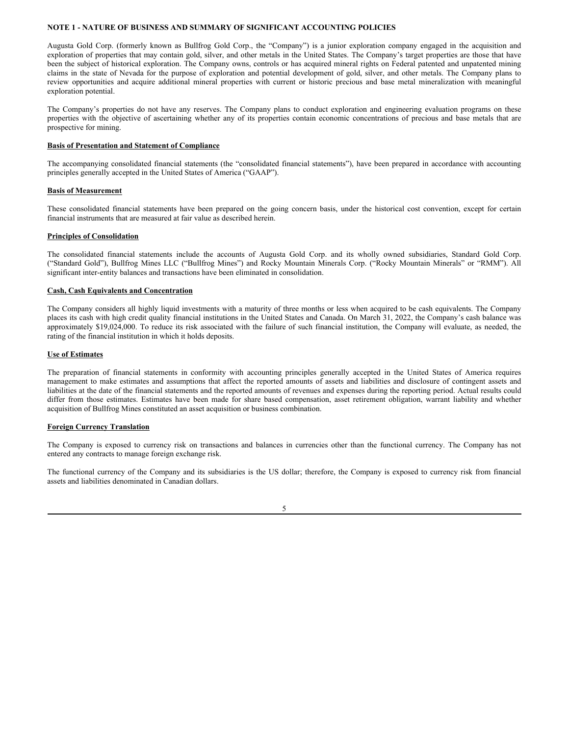### **NOTE 1 - NATURE OF BUSINESS AND SUMMARY OF SIGNIFICANT ACCOUNTING POLICIES**

Augusta Gold Corp. (formerly known as Bullfrog Gold Corp., the "Company") is a junior exploration company engaged in the acquisition and exploration of properties that may contain gold, silver, and other metals in the United States. The Company's target properties are those that have been the subject of historical exploration. The Company owns, controls or has acquired mineral rights on Federal patented and unpatented mining claims in the state of Nevada for the purpose of exploration and potential development of gold, silver, and other metals. The Company plans to review opportunities and acquire additional mineral properties with current or historic precious and base metal mineralization with meaningful exploration potential.

The Company's properties do not have any reserves. The Company plans to conduct exploration and engineering evaluation programs on these properties with the objective of ascertaining whether any of its properties contain economic concentrations of precious and base metals that are prospective for mining.

#### **Basis of Presentation and Statement of Compliance**

The accompanying consolidated financial statements (the "consolidated financial statements"), have been prepared in accordance with accounting principles generally accepted in the United States of America ("GAAP").

#### **Basis of Measurement**

These consolidated financial statements have been prepared on the going concern basis, under the historical cost convention, except for certain financial instruments that are measured at fair value as described herein.

#### **Principles of Consolidation**

The consolidated financial statements include the accounts of Augusta Gold Corp. and its wholly owned subsidiaries, Standard Gold Corp. ("Standard Gold"), Bullfrog Mines LLC ("Bullfrog Mines") and Rocky Mountain Minerals Corp. ("Rocky Mountain Minerals" or "RMM"). All significant inter-entity balances and transactions have been eliminated in consolidation.

### **Cash, Cash Equivalents and Concentration**

The Company considers all highly liquid investments with a maturity of three months or less when acquired to be cash equivalents. The Company places its cash with high credit quality financial institutions in the United States and Canada. On March 31, 2022, the Company's cash balance was approximately \$19,024,000. To reduce its risk associated with the failure of such financial institution, the Company will evaluate, as needed, the rating of the financial institution in which it holds deposits.

#### **Use of Estimates**

The preparation of financial statements in conformity with accounting principles generally accepted in the United States of America requires management to make estimates and assumptions that affect the reported amounts of assets and liabilities and disclosure of contingent assets and liabilities at the date of the financial statements and the reported amounts of revenues and expenses during the reporting period. Actual results could differ from those estimates. Estimates have been made for share based compensation, asset retirement obligation, warrant liability and whether acquisition of Bullfrog Mines constituted an asset acquisition or business combination.

## **Foreign Currency Translation**

The Company is exposed to currency risk on transactions and balances in currencies other than the functional currency. The Company has not entered any contracts to manage foreign exchange risk.

The functional currency of the Company and its subsidiaries is the US dollar; therefore, the Company is exposed to currency risk from financial assets and liabilities denominated in Canadian dollars.

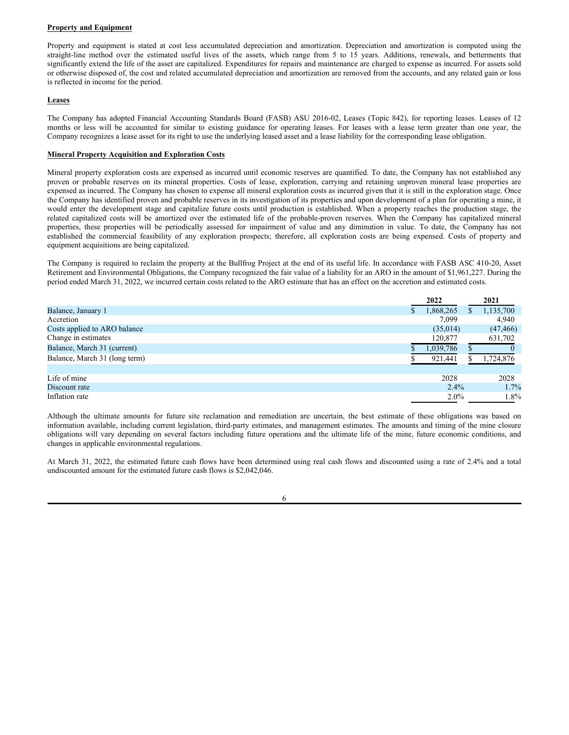# **Property and Equipment**

Property and equipment is stated at cost less accumulated depreciation and amortization. Depreciation and amortization is computed using the straight-line method over the estimated useful lives of the assets, which range from 5 to 15 years. Additions, renewals, and betterments that significantly extend the life of the asset are capitalized. Expenditures for repairs and maintenance are charged to expense as incurred. For assets sold or otherwise disposed of, the cost and related accumulated depreciation and amortization are removed from the accounts, and any related gain or loss is reflected in income for the period.

# **Leases**

The Company has adopted Financial Accounting Standards Board (FASB) ASU 2016-02, Leases (Topic 842), for reporting leases. Leases of 12 months or less will be accounted for similar to existing guidance for operating leases. For leases with a lease term greater than one year, the Company recognizes a lease asset for its right to use the underlying leased asset and a lease liability for the corresponding lease obligation.

# **Mineral Property Acquisition and Exploration Costs**

Mineral property exploration costs are expensed as incurred until economic reserves are quantified. To date, the Company has not established any proven or probable reserves on its mineral properties. Costs of lease, exploration, carrying and retaining unproven mineral lease properties are expensed as incurred. The Company has chosen to expense all mineral exploration costs as incurred given that it is still in the exploration stage. Once the Company has identified proven and probable reserves in its investigation of its properties and upon development of a plan for operating a mine, it would enter the development stage and capitalize future costs until production is established. When a property reaches the production stage, the related capitalized costs will be amortized over the estimated life of the probable-proven reserves. When the Company has capitalized mineral properties, these properties will be periodically assessed for impairment of value and any diminution in value. To date, the Company has not established the commercial feasibility of any exploration prospects; therefore, all exploration costs are being expensed. Costs of property and equipment acquisitions are being capitalized.

The Company is required to reclaim the property at the Bullfrog Project at the end of its useful life. In accordance with FASB ASC 410-20, Asset Retirement and Environmental Obligations, the Company recognized the fair value of a liability for an ARO in the amount of \$1,961,227. During the period ended March 31, 2022, we incurred certain costs related to the ARO estimate that has an effect on the accretion and estimated costs.

|                               |    | 2022      |    | 2021      |
|-------------------------------|----|-----------|----|-----------|
| Balance, January 1            | Ъ. | 1,868,265 | Ъ. | 1,135,700 |
| Accretion                     |    | 7.099     |    | 4.940     |
| Costs applied to ARO balance  |    | (35,014)  |    | (47, 466) |
| Change in estimates           |    | 120,877   |    | 631,702   |
| Balance, March 31 (current)   |    | 1,039,786 |    |           |
| Balance, March 31 (long term) |    | 921,441   |    | 1,724,876 |
|                               |    |           |    |           |
| Life of mine                  |    | 2028      |    | 2028      |
| Discount rate                 |    | $2.4\%$   |    | 1.7%      |
| Inflation rate                |    | $2.0\%$   |    | 1.8%      |

Although the ultimate amounts for future site reclamation and remediation are uncertain, the best estimate of these obligations was based on information available, including current legislation, third-party estimates, and management estimates. The amounts and timing of the mine closure obligations will vary depending on several factors including future operations and the ultimate life of the mine, future economic conditions, and changes in applicable environmental regulations.

At March 31, 2022, the estimated future cash flows have been determined using real cash flows and discounted using a rate of 2.4% and a total undiscounted amount for the estimated future cash flows is \$2,042,046.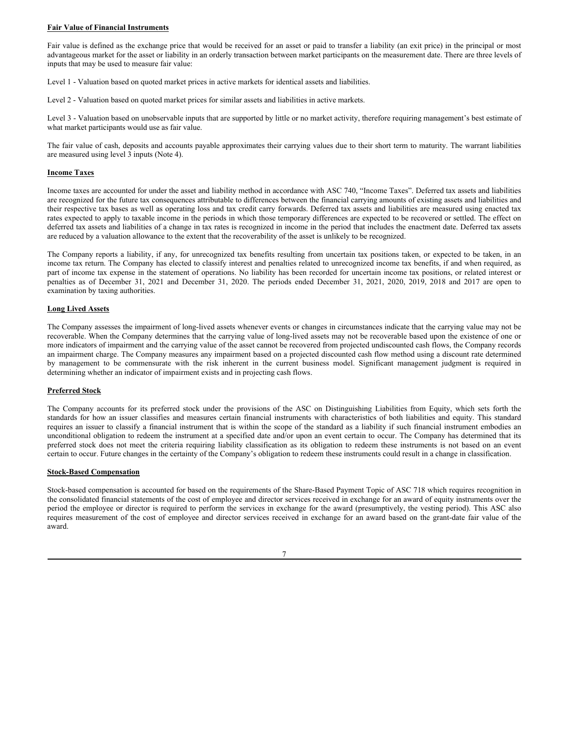### **Fair Value of Financial Instruments**

Fair value is defined as the exchange price that would be received for an asset or paid to transfer a liability (an exit price) in the principal or most advantageous market for the asset or liability in an orderly transaction between market participants on the measurement date. There are three levels of inputs that may be used to measure fair value:

Level 1 - Valuation based on quoted market prices in active markets for identical assets and liabilities.

Level 2 - Valuation based on quoted market prices for similar assets and liabilities in active markets.

Level 3 - Valuation based on unobservable inputs that are supported by little or no market activity, therefore requiring management's best estimate of what market participants would use as fair value.

The fair value of cash, deposits and accounts payable approximates their carrying values due to their short term to maturity. The warrant liabilities are measured using level 3 inputs (Note 4).

### **Income Taxes**

Income taxes are accounted for under the asset and liability method in accordance with ASC 740, "Income Taxes". Deferred tax assets and liabilities are recognized for the future tax consequences attributable to differences between the financial carrying amounts of existing assets and liabilities and their respective tax bases as well as operating loss and tax credit carry forwards. Deferred tax assets and liabilities are measured using enacted tax rates expected to apply to taxable income in the periods in which those temporary differences are expected to be recovered or settled. The effect on deferred tax assets and liabilities of a change in tax rates is recognized in income in the period that includes the enactment date. Deferred tax assets are reduced by a valuation allowance to the extent that the recoverability of the asset is unlikely to be recognized.

The Company reports a liability, if any, for unrecognized tax benefits resulting from uncertain tax positions taken, or expected to be taken, in an income tax return. The Company has elected to classify interest and penalties related to unrecognized income tax benefits, if and when required, as part of income tax expense in the statement of operations. No liability has been recorded for uncertain income tax positions, or related interest or penalties as of December 31, 2021 and December 31, 2020. The periods ended December 31, 2021, 2020, 2019, 2018 and 2017 are open to examination by taxing authorities.

#### **Long Lived Assets**

The Company assesses the impairment of long-lived assets whenever events or changes in circumstances indicate that the carrying value may not be recoverable. When the Company determines that the carrying value of long-lived assets may not be recoverable based upon the existence of one or more indicators of impairment and the carrying value of the asset cannot be recovered from projected undiscounted cash flows, the Company records an impairment charge. The Company measures any impairment based on a projected discounted cash flow method using a discount rate determined by management to be commensurate with the risk inherent in the current business model. Significant management judgment is required in determining whether an indicator of impairment exists and in projecting cash flows.

#### **Preferred Stock**

The Company accounts for its preferred stock under the provisions of the ASC on Distinguishing Liabilities from Equity, which sets forth the standards for how an issuer classifies and measures certain financial instruments with characteristics of both liabilities and equity. This standard requires an issuer to classify a financial instrument that is within the scope of the standard as a liability if such financial instrument embodies an unconditional obligation to redeem the instrument at a specified date and/or upon an event certain to occur. The Company has determined that its preferred stock does not meet the criteria requiring liability classification as its obligation to redeem these instruments is not based on an event certain to occur. Future changes in the certainty of the Company's obligation to redeem these instruments could result in a change in classification.

#### **Stock-Based Compensation**

Stock-based compensation is accounted for based on the requirements of the Share-Based Payment Topic of ASC 718 which requires recognition in the consolidated financial statements of the cost of employee and director services received in exchange for an award of equity instruments over the period the employee or director is required to perform the services in exchange for the award (presumptively, the vesting period). This ASC also requires measurement of the cost of employee and director services received in exchange for an award based on the grant-date fair value of the award.

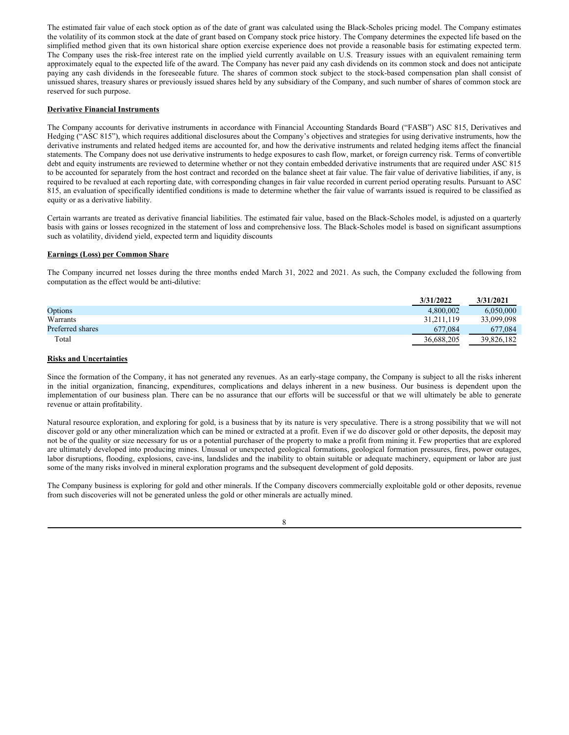The estimated fair value of each stock option as of the date of grant was calculated using the Black-Scholes pricing model. The Company estimates the volatility of its common stock at the date of grant based on Company stock price history. The Company determines the expected life based on the simplified method given that its own historical share option exercise experience does not provide a reasonable basis for estimating expected term. The Company uses the risk-free interest rate on the implied yield currently available on U.S. Treasury issues with an equivalent remaining term approximately equal to the expected life of the award. The Company has never paid any cash dividends on its common stock and does not anticipate paying any cash dividends in the foreseeable future. The shares of common stock subject to the stock-based compensation plan shall consist of unissued shares, treasury shares or previously issued shares held by any subsidiary of the Company, and such number of shares of common stock are reserved for such purpose.

# **Derivative Financial Instruments**

The Company accounts for derivative instruments in accordance with Financial Accounting Standards Board ("FASB") ASC 815, Derivatives and Hedging ("ASC 815"), which requires additional disclosures about the Company's objectives and strategies for using derivative instruments, how the derivative instruments and related hedged items are accounted for, and how the derivative instruments and related hedging items affect the financial statements. The Company does not use derivative instruments to hedge exposures to cash flow, market, or foreign currency risk. Terms of convertible debt and equity instruments are reviewed to determine whether or not they contain embedded derivative instruments that are required under ASC 815 to be accounted for separately from the host contract and recorded on the balance sheet at fair value. The fair value of derivative liabilities, if any, is required to be revalued at each reporting date, with corresponding changes in fair value recorded in current period operating results. Pursuant to ASC 815, an evaluation of specifically identified conditions is made to determine whether the fair value of warrants issued is required to be classified as equity or as a derivative liability.

Certain warrants are treated as derivative financial liabilities. The estimated fair value, based on the Black-Scholes model, is adjusted on a quarterly basis with gains or losses recognized in the statement of loss and comprehensive loss. The Black-Scholes model is based on significant assumptions such as volatility, dividend yield, expected term and liquidity discounts

## **Earnings (Loss) per Common Share**

The Company incurred net losses during the three months ended March 31, 2022 and 2021. As such, the Company excluded the following from computation as the effect would be anti-dilutive:

|                  | 3/31/2022  | 3/31/2021  |
|------------------|------------|------------|
| Options          | 4,800,002  | 6,050,000  |
| Warrants         | 31,211,119 | 33,099,098 |
| Preferred shares | 677,084    | 677,084    |
| Total            | 36,688,205 | 39,826,182 |

# **Risks and Uncertainties**

Since the formation of the Company, it has not generated any revenues. As an early-stage company, the Company is subject to all the risks inherent in the initial organization, financing, expenditures, complications and delays inherent in a new business. Our business is dependent upon the implementation of our business plan. There can be no assurance that our efforts will be successful or that we will ultimately be able to generate revenue or attain profitability.

Natural resource exploration, and exploring for gold, is a business that by its nature is very speculative. There is a strong possibility that we will not discover gold or any other mineralization which can be mined or extracted at a profit. Even if we do discover gold or other deposits, the deposit may not be of the quality or size necessary for us or a potential purchaser of the property to make a profit from mining it. Few properties that are explored are ultimately developed into producing mines. Unusual or unexpected geological formations, geological formation pressures, fires, power outages, labor disruptions, flooding, explosions, cave-ins, landslides and the inability to obtain suitable or adequate machinery, equipment or labor are just some of the many risks involved in mineral exploration programs and the subsequent development of gold deposits.

The Company business is exploring for gold and other minerals. If the Company discovers commercially exploitable gold or other deposits, revenue from such discoveries will not be generated unless the gold or other minerals are actually mined.

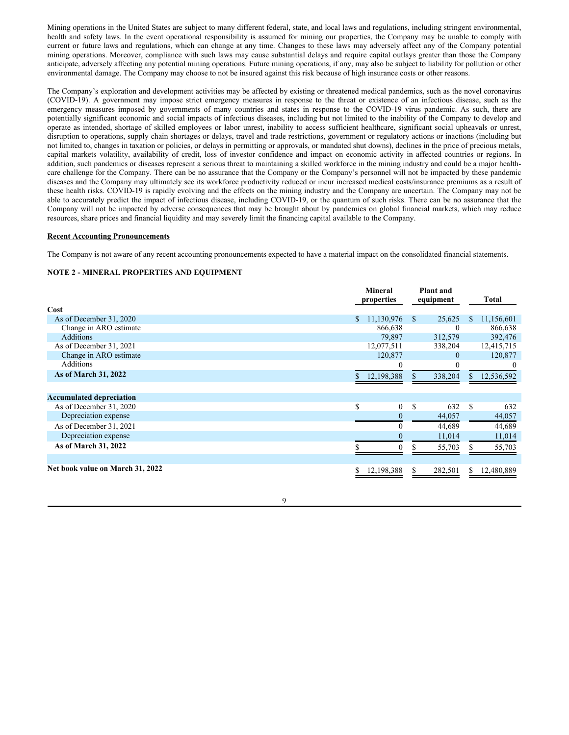Mining operations in the United States are subject to many different federal, state, and local laws and regulations, including stringent environmental, health and safety laws. In the event operational responsibility is assumed for mining our properties, the Company may be unable to comply with current or future laws and regulations, which can change at any time. Changes to these laws may adversely affect any of the Company potential mining operations. Moreover, compliance with such laws may cause substantial delays and require capital outlays greater than those the Company anticipate, adversely affecting any potential mining operations. Future mining operations, if any, may also be subject to liability for pollution or other environmental damage. The Company may choose to not be insured against this risk because of high insurance costs or other reasons.

The Company's exploration and development activities may be affected by existing or threatened medical pandemics, such as the novel coronavirus (COVID-19). A government may impose strict emergency measures in response to the threat or existence of an infectious disease, such as the emergency measures imposed by governments of many countries and states in response to the COVID-19 virus pandemic. As such, there are potentially significant economic and social impacts of infectious diseases, including but not limited to the inability of the Company to develop and operate as intended, shortage of skilled employees or labor unrest, inability to access sufficient healthcare, significant social upheavals or unrest, disruption to operations, supply chain shortages or delays, travel and trade restrictions, government or regulatory actions or inactions (including but not limited to, changes in taxation or policies, or delays in permitting or approvals, or mandated shut downs), declines in the price of precious metals, capital markets volatility, availability of credit, loss of investor confidence and impact on economic activity in affected countries or regions. In addition, such pandemics or diseases represent a serious threat to maintaining a skilled workforce in the mining industry and could be a major healthcare challenge for the Company. There can be no assurance that the Company or the Company's personnel will not be impacted by these pandemic diseases and the Company may ultimately see its workforce productivity reduced or incur increased medical costs/insurance premiums as a result of these health risks. COVID-19 is rapidly evolving and the effects on the mining industry and the Company are uncertain. The Company may not be able to accurately predict the impact of infectious disease, including COVID-19, or the quantum of such risks. There can be no assurance that the Company will not be impacted by adverse consequences that may be brought about by pandemics on global financial markets, which may reduce resources, share prices and financial liquidity and may severely limit the financing capital available to the Company.

#### **Recent Accounting Pronouncements**

The Company is not aware of any recent accounting pronouncements expected to have a material impact on the consolidated financial statements.

## **NOTE 2 - MINERAL PROPERTIES AND EQUIPMENT**

|                                  |    | <b>Mineral</b><br>properties |              | <b>Plant</b> and<br>equipment |    | Total      |
|----------------------------------|----|------------------------------|--------------|-------------------------------|----|------------|
| Cost                             |    |                              |              |                               |    |            |
| As of December 31, 2020          | S. | 11,130,976                   | <sup>S</sup> | 25,625                        | S. | 11,156,601 |
| Change in ARO estimate           |    | 866,638                      |              | $\Omega$                      |    | 866,638    |
| <b>Additions</b>                 |    | 79,897                       |              | 312,579                       |    | 392,476    |
| As of December 31, 2021          |    | 12,077,511                   |              | 338,204                       |    | 12,415,715 |
| Change in ARO estimate           |    | 120,877                      |              | $\theta$                      |    | 120,877    |
| <b>Additions</b>                 |    | 0                            |              | 0                             |    | $\bf{0}$   |
| As of March 31, 2022             |    | 12,198,388                   |              | 338,204                       | S. | 12,536,592 |
| <b>Accumulated depreciation</b>  |    |                              |              |                               |    |            |
| As of December 31, 2020          | \$ | $\overline{0}$               | \$           | 632                           | \$ | 632        |
| Depreciation expense             |    |                              |              | 44,057                        |    | 44,057     |
| As of December 31, 2021          |    | $\theta$                     |              | 44,689                        |    | 44,689     |
| Depreciation expense             |    | $\Omega$                     |              | 11,014                        |    | 11,014     |
| As of March 31, 2022             |    |                              |              | 55,703                        |    | 55,703     |
| Net book value on March 31, 2022 |    | 12,198,388                   | S.           | 282,501                       | S. | 12,480,889 |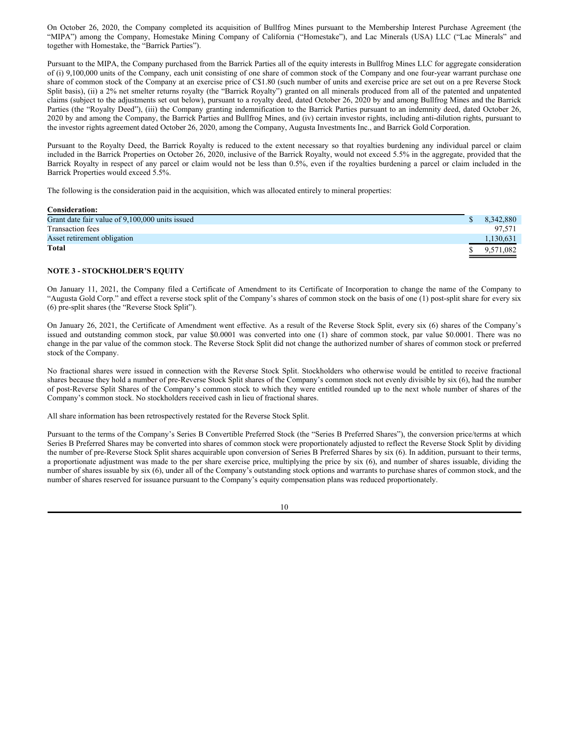On October 26, 2020, the Company completed its acquisition of Bullfrog Mines pursuant to the Membership Interest Purchase Agreement (the "MIPA") among the Company, Homestake Mining Company of California ("Homestake"), and Lac Minerals (USA) LLC ("Lac Minerals" and together with Homestake, the "Barrick Parties").

Pursuant to the MIPA, the Company purchased from the Barrick Parties all of the equity interests in Bullfrog Mines LLC for aggregate consideration of (i) 9,100,000 units of the Company, each unit consisting of one share of common stock of the Company and one four-year warrant purchase one share of common stock of the Company at an exercise price of C\$1.80 (such number of units and exercise price are set out on a pre Reverse Stock Split basis), (ii) a 2% net smelter returns royalty (the "Barrick Royalty") granted on all minerals produced from all of the patented and unpatented claims (subject to the adjustments set out below), pursuant to a royalty deed, dated October 26, 2020 by and among Bullfrog Mines and the Barrick Parties (the "Royalty Deed"), (iii) the Company granting indemnification to the Barrick Parties pursuant to an indemnity deed, dated October 26, 2020 by and among the Company, the Barrick Parties and Bullfrog Mines, and (iv) certain investor rights, including anti-dilution rights, pursuant to the investor rights agreement dated October 26, 2020, among the Company, Augusta Investments Inc., and Barrick Gold Corporation.

Pursuant to the Royalty Deed, the Barrick Royalty is reduced to the extent necessary so that royalties burdening any individual parcel or claim included in the Barrick Properties on October 26, 2020, inclusive of the Barrick Royalty, would not exceed 5.5% in the aggregate, provided that the Barrick Royalty in respect of any parcel or claim would not be less than 0.5%, even if the royalties burdening a parcel or claim included in the Barrick Properties would exceed 5.5%.

The following is the consideration paid in the acquisition, which was allocated entirely to mineral properties:

#### **Consideration:**

| Grant date fair value of 9,100,000 units issued | 8.342.880 |
|-------------------------------------------------|-----------|
| Transaction fees                                | 97.571    |
| Asset retirement obligation                     | 1,130,631 |
| <b>Total</b>                                    | 9,571,082 |

# **NOTE 3 - STOCKHOLDER'S EQUITY**

On January 11, 2021, the Company filed a Certificate of Amendment to its Certificate of Incorporation to change the name of the Company to "Augusta Gold Corp." and effect a reverse stock split of the Company's shares of common stock on the basis of one (1) post-split share for every six (6) pre-split shares (the "Reverse Stock Split").

On January 26, 2021, the Certificate of Amendment went effective. As a result of the Reverse Stock Split, every six (6) shares of the Company's issued and outstanding common stock, par value \$0.0001 was converted into one (1) share of common stock, par value \$0.0001. There was no change in the par value of the common stock. The Reverse Stock Split did not change the authorized number of shares of common stock or preferred stock of the Company.

No fractional shares were issued in connection with the Reverse Stock Split. Stockholders who otherwise would be entitled to receive fractional shares because they hold a number of pre-Reverse Stock Split shares of the Company's common stock not evenly divisible by six (6), had the number of post-Reverse Split Shares of the Company's common stock to which they were entitled rounded up to the next whole number of shares of the Company's common stock. No stockholders received cash in lieu of fractional shares.

All share information has been retrospectively restated for the Reverse Stock Split.

Pursuant to the terms of the Company's Series B Convertible Preferred Stock (the "Series B Preferred Shares"), the conversion price/terms at which Series B Preferred Shares may be converted into shares of common stock were proportionately adjusted to reflect the Reverse Stock Split by dividing the number of pre-Reverse Stock Split shares acquirable upon conversion of Series B Preferred Shares by six (6). In addition, pursuant to their terms, a proportionate adjustment was made to the per share exercise price, multiplying the price by six (6), and number of shares issuable, dividing the number of shares issuable by six (6), under all of the Company's outstanding stock options and warrants to purchase shares of common stock, and the number of shares reserved for issuance pursuant to the Company's equity compensation plans was reduced proportionately.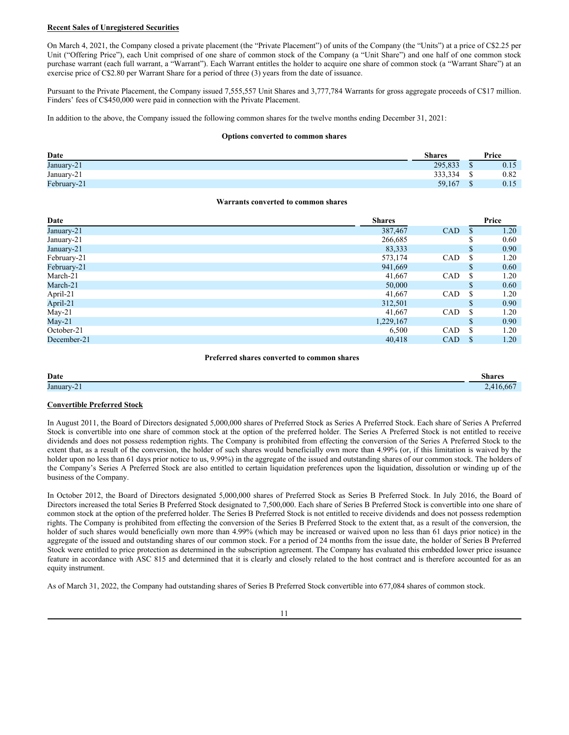# **Recent Sales of Unregistered Securities**

On March 4, 2021, the Company closed a private placement (the "Private Placement") of units of the Company (the "Units") at a price of C\$2.25 per Unit ("Offering Price"), each Unit comprised of one share of common stock of the Company (a "Unit Share") and one half of one common stock purchase warrant (each full warrant, a "Warrant"). Each Warrant entitles the holder to acquire one share of common stock (a "Warrant Share") at an exercise price of C\$2.80 per Warrant Share for a period of three (3) years from the date of issuance.

Pursuant to the Private Placement, the Company issued 7,555,557 Unit Shares and 3,777,784 Warrants for gross aggregate proceeds of C\$17 million. Finders' fees of C\$450,000 were paid in connection with the Private Placement.

In addition to the above, the Company issued the following common shares for the twelve months ending December 31, 2021:

### **Options converted to common shares**

| Date        | <b>Shares</b> | Price |
|-------------|---------------|-------|
| January-21  | 295,833       | 0.15  |
| January-21  | 333,334       | 0.82  |
| February-21 | 59,167        | 0.15  |

#### **Warrants converted to common shares**

| Date        | <b>Shares</b> |            |     | Price |
|-------------|---------------|------------|-----|-------|
| January-21  | 387,467       | CAD        |     | 1.20  |
| January-21  | 266,685       |            |     | 0.60  |
| January-21  | 83,333        |            | ъ   | 0.90  |
| February-21 | 573,174       | CAD        | S   | 1.20  |
| February-21 | 941,669       |            | ЭĐ. | 0.60  |
| March-21    | 41,667        | CAD        | S   | 1.20  |
| March-21    | 50,000        |            |     | 0.60  |
| April-21    | 41,667        | <b>CAD</b> | S   | 1.20  |
| April-21    | 312,501       |            | D   | 0.90  |
| $May-21$    | 41,667        | <b>CAD</b> | S   | 1.20  |
| $May-21$    | 1,229,167     |            | .Ъ  | 0.90  |
| October-21  | 6,500         | CAD        | \$. | 1.20  |
| December-21 | 40,418        | <b>CAD</b> | S   | 1.20  |

#### **Preferred shares converted to common shares**

| Date       | <b>Chaves</b><br>эниг |
|------------|-----------------------|
| January-21 | 0.00 <sub>1</sub>     |

## **Convertible Preferred Stock**

In August 2011, the Board of Directors designated 5,000,000 shares of Preferred Stock as Series A Preferred Stock. Each share of Series A Preferred Stock is convertible into one share of common stock at the option of the preferred holder. The Series A Preferred Stock is not entitled to receive dividends and does not possess redemption rights. The Company is prohibited from effecting the conversion of the Series A Preferred Stock to the extent that, as a result of the conversion, the holder of such shares would beneficially own more than 4.99% (or, if this limitation is waived by the holder upon no less than 61 days prior notice to us, 9.99%) in the aggregate of the issued and outstanding shares of our common stock. The holders of the Company's Series A Preferred Stock are also entitled to certain liquidation preferences upon the liquidation, dissolution or winding up of the business of the Company.

In October 2012, the Board of Directors designated 5,000,000 shares of Preferred Stock as Series B Preferred Stock. In July 2016, the Board of Directors increased the total Series B Preferred Stock designated to 7,500,000. Each share of Series B Preferred Stock is convertible into one share of common stock at the option of the preferred holder. The Series B Preferred Stock is not entitled to receive dividends and does not possess redemption rights. The Company is prohibited from effecting the conversion of the Series B Preferred Stock to the extent that, as a result of the conversion, the holder of such shares would beneficially own more than 4.99% (which may be increased or waived upon no less than 61 days prior notice) in the aggregate of the issued and outstanding shares of our common stock. For a period of 24 months from the issue date, the holder of Series B Preferred Stock were entitled to price protection as determined in the subscription agreement. The Company has evaluated this embedded lower price issuance feature in accordance with ASC 815 and determined that it is clearly and closely related to the host contract and is therefore accounted for as an equity instrument.

As of March 31, 2022, the Company had outstanding shares of Series B Preferred Stock convertible into 677,084 shares of common stock.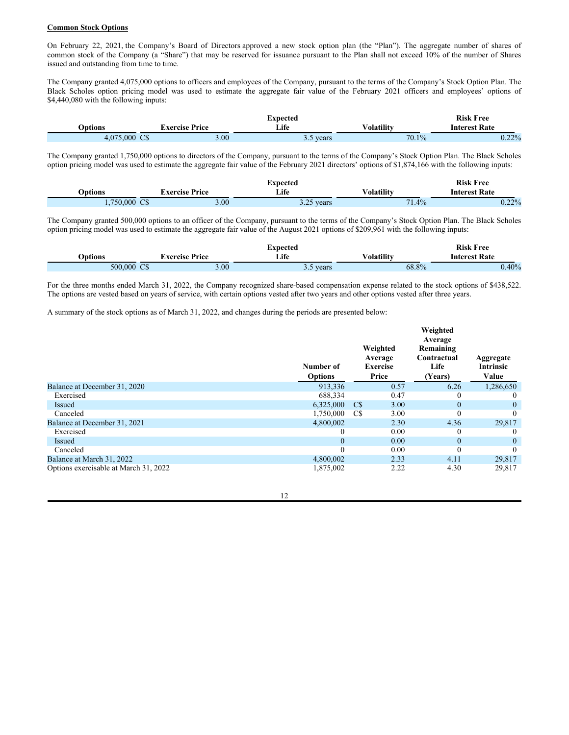## **Common Stock Options**

On February 22, 2021, the Company's Board of Directors approved a new stock option plan (the "Plan"). The aggregate number of shares of common stock of the Company (a "Share") that may be reserved for issuance pursuant to the Plan shall not exceed 10% of the number of Shares issued and outstanding from time to time.

The Company granted 4,075,000 options to officers and employees of the Company, pursuant to the terms of the Company's Stock Option Plan. The Black Scholes option pricing model was used to estimate the aggregate fair value of the February 2021 officers and employees' options of \$4,440,080 with the following inputs:

|           |                         | Expected     |            | <b>Risk Free</b>     |
|-----------|-------------------------|--------------|------------|----------------------|
| Options   | <b>Exercise Price</b>   | Life         | /olatilitv | <b>Interest Rate</b> |
| 4,075,000 | $\bigcap$<br>3.00<br>◡╜ | years<br>ر.ر | 70.1%      | 0.22%                |

The Company granted 1,750,000 options to directors of the Company, pursuant to the terms of the Company's Stock Option Plan. The Black Scholes option pricing model was used to estimate the aggregate fair value of the February 2021 directors' options of \$1,874,166 with the following inputs:

|          |                      | Expected                                 |                        | <b>Risk Free</b>     |
|----------|----------------------|------------------------------------------|------------------------|----------------------|
| Options  | Price<br>'xercise    | Life<br>____                             | /olatilit <sup>-</sup> | <b>Interest Rate</b> |
| .750.000 | $\sim$<br>3.00<br>◡╜ | $\sim$ $\sim$ $\sim$<br>years<br>ر ے . ر | 71<br>1.4%             | 0.22%                |

The Company granted 500,000 options to an officer of the Company, pursuant to the terms of the Company's Stock Option Plan. The Black Scholes option pricing model was used to estimate the aggregate fair value of the August 2021 options of \$209,961 with the following inputs:

|         |                                 | txpected      |                    | <b>Risk Free</b>     |
|---------|---------------------------------|---------------|--------------------|----------------------|
| )ptions | <b>Exercise Price</b>           | Life          | <b>v</b> olatility | <b>Interest Rate</b> |
| 500,000 | $\sim$ $\sim$<br>$3.00\,$<br>◡╜ | years<br>ر. ر | 68.8%              | $0.40\%$             |

For the three months ended March 31, 2022, the Company recognized share-based compensation expense related to the stock options of \$438,522. The options are vested based on years of service, with certain options vested after two years and other options vested after three years.

A summary of the stock options as of March 31, 2022, and changes during the periods are presented below:

|                                       | Number of<br><b>Options</b> | Weighted<br>Average<br><b>Exercise</b><br>Price | Weighted<br>Average<br>Remaining<br>Contractual<br>Life<br>(Years) | Aggregate<br><b>Intrinsic</b><br>Value |
|---------------------------------------|-----------------------------|-------------------------------------------------|--------------------------------------------------------------------|----------------------------------------|
| Balance at December 31, 2020          | 913.336                     | 0.57                                            | 6.26                                                               | 1,286,650                              |
| Exercised                             | 688,334                     | 0.47                                            | $\theta$                                                           | $\theta$                               |
| Issued                                | 6,325,000                   | 3.00<br>$\mathbb{C}\mathbb{S}$                  | $\theta$                                                           | $\overline{0}$                         |
| Canceled                              | 1,750,000                   | 3.00<br>C\$                                     | 0                                                                  | $\Omega$                               |
| Balance at December 31, 2021          | 4,800,002                   | 2.30                                            | 4.36                                                               | 29,817                                 |
| Exercised                             |                             | 0.00                                            | 0                                                                  | $\theta$                               |
| <b>Issued</b>                         | $\theta$                    | 0.00                                            | $\theta$                                                           | $\theta$                               |
| Canceled                              |                             | 0.00                                            | $\theta$                                                           | $\Omega$                               |
| Balance at March 31, 2022             | 4,800,002                   | 2.33                                            | 4.11                                                               | 29,817                                 |
| Options exercisable at March 31, 2022 | 1,875,002                   | 2.22                                            | 4.30                                                               | 29.817                                 |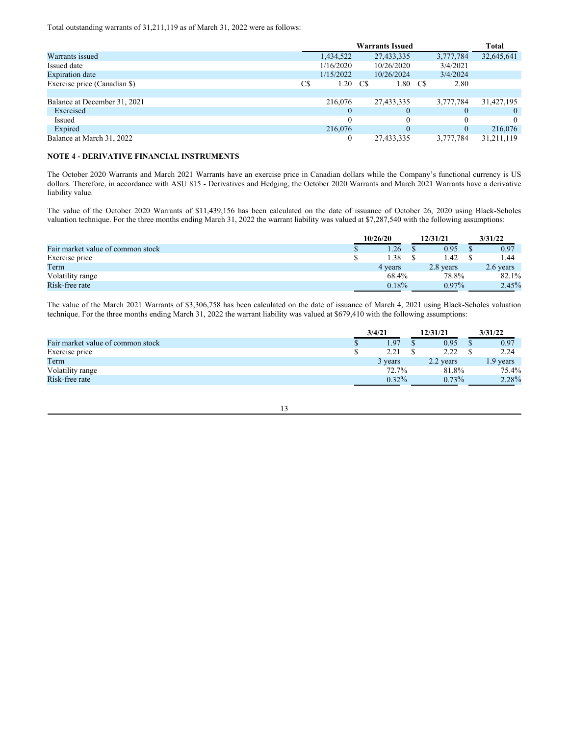Total outstanding warrants of 31,211,119 as of March 31, 2022 were as follows:

|                              |     |           |       | <b>Warrants Issued</b> |     |                | <b>Total</b> |
|------------------------------|-----|-----------|-------|------------------------|-----|----------------|--------------|
| Warrants issued              |     | 1,434,522 |       | 27,433,335             |     | 3,777,784      | 32,645,641   |
| Issued date                  |     | 1/16/2020 |       | 10/26/2020             |     | 3/4/2021       |              |
| <b>Expiration</b> date       |     | 1/15/2022 |       | 10/26/2024             |     | 3/4/2024       |              |
| Exercise price (Canadian \$) | C\$ | 1.20      | - C\$ | .80                    | C\$ | 2.80           |              |
|                              |     |           |       |                        |     |                |              |
| Balance at December 31, 2021 |     | 216,076   |       | 27,433,335             |     | 3,777,784      | 31,427,195   |
| Exercised                    |     |           |       |                        |     | $\Omega$       |              |
| Issued                       |     |           |       |                        |     | 0              | $\Omega$     |
| Expired                      |     | 216,076   |       |                        |     | $\overline{0}$ | 216,076      |
| Balance at March 31, 2022    |     |           |       | 27,433,335             |     | 3,777,784      | 31,211,119   |

# **NOTE 4 - DERIVATIVE FINANCIAL INSTRUMENTS**

The October 2020 Warrants and March 2021 Warrants have an exercise price in Canadian dollars while the Company's functional currency is US dollars. Therefore, in accordance with ASU 815 - Derivatives and Hedging, the October 2020 Warrants and March 2021 Warrants have a derivative liability value.

The value of the October 2020 Warrants of \$11,439,156 has been calculated on the date of issuance of October 26, 2020 using Black-Scholes valuation technique. For the three months ending March 31, 2022 the warrant liability was valued at \$7,287,540 with the following assumptions:

|                                   | 10/26/20 | 12/31/21  | 3/31/22   |
|-----------------------------------|----------|-----------|-----------|
| Fair market value of common stock | l.26     | 0.95      | 0.97      |
| Exercise price                    | 1.38     | 1.42      | 1.44      |
| Term                              | 4 years  | 2.8 years | 2.6 years |
| Volatility range                  | 68.4%    | 78.8%     | 82.1%     |
| Risk-free rate                    | 0.18%    | $0.97\%$  | 2.45%     |

The value of the March 2021 Warrants of \$3,306,758 has been calculated on the date of issuance of March 4, 2021 using Black-Scholes valuation technique. For the three months ending March 31, 2022 the warrant liability was valued at \$679,410 with the following assumptions:

|                                   | 3/4/21   | 12/31/21  | 3/31/22  |
|-----------------------------------|----------|-----------|----------|
| Fair market value of common stock | 1.97     | 0.95      | 0.97     |
| Exercise price                    | 2.21     | 2.22      | 2.24     |
| Term                              | 3 years  | 2.2 years | .9 years |
| Volatility range                  | 72.7%    | 81.8%     | 75.4%    |
| Risk-free rate                    | $0.32\%$ | 0.73%     | 2.28%    |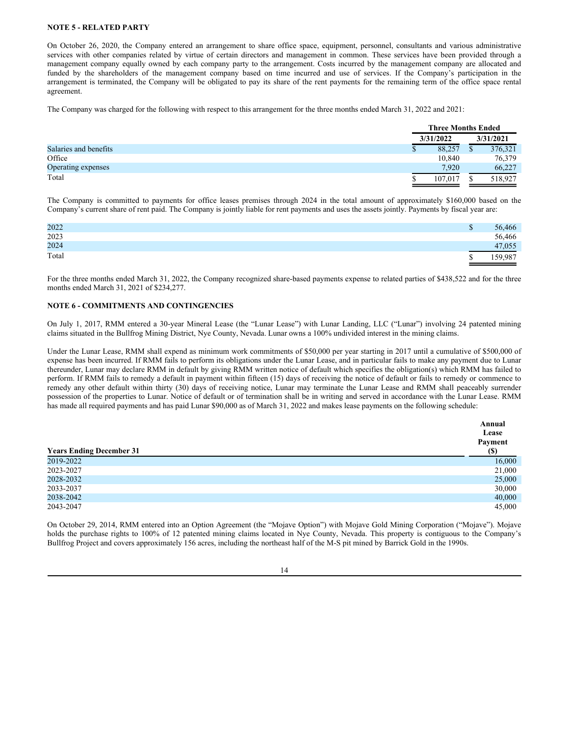#### **NOTE 5 - RELATED PARTY**

On October 26, 2020, the Company entered an arrangement to share office space, equipment, personnel, consultants and various administrative services with other companies related by virtue of certain directors and management in common. These services have been provided through a management company equally owned by each company party to the arrangement. Costs incurred by the management company are allocated and funded by the shareholders of the management company based on time incurred and use of services. If the Company's participation in the arrangement is terminated, the Company will be obligated to pay its share of the rent payments for the remaining term of the office space rental agreement.

The Company was charged for the following with respect to this arrangement for the three months ended March 31, 2022 and 2021:

|                       | <b>Three Months Ended</b> |           |  |           |
|-----------------------|---------------------------|-----------|--|-----------|
|                       |                           | 3/31/2022 |  | 3/31/2021 |
| Salaries and benefits |                           | 88,257    |  | 376,321   |
| Office                |                           | 10,840    |  | 76,379    |
| Operating expenses    |                           | 7.920     |  | 66,227    |
| Total                 |                           | 107,017   |  | 518,927   |

The Company is committed to payments for office leases premises through 2024 in the total amount of approximately \$160,000 based on the Company's current share of rent paid. The Company is jointly liable for rent payments and uses the assets jointly. Payments by fiscal year are:

| 2022  | ٨Đ | 56,466  |
|-------|----|---------|
| 2023  |    | 56,466  |
| 2024  |    | 47,055  |
| Total |    | 159,987 |

For the three months ended March 31, 2022, the Company recognized share-based payments expense to related parties of \$438,522 and for the three months ended March 31, 2021 of \$234,277.

### **NOTE 6 - COMMITMENTS AND CONTINGENCIES**

On July 1, 2017, RMM entered a 30-year Mineral Lease (the "Lunar Lease") with Lunar Landing, LLC ("Lunar") involving 24 patented mining claims situated in the Bullfrog Mining District, Nye County, Nevada. Lunar owns a 100% undivided interest in the mining claims.

Under the Lunar Lease, RMM shall expend as minimum work commitments of \$50,000 per year starting in 2017 until a cumulative of \$500,000 of expense has been incurred. If RMM fails to perform its obligations under the Lunar Lease, and in particular fails to make any payment due to Lunar thereunder, Lunar may declare RMM in default by giving RMM written notice of default which specifies the obligation(s) which RMM has failed to perform. If RMM fails to remedy a default in payment within fifteen (15) days of receiving the notice of default or fails to remedy or commence to remedy any other default within thirty (30) days of receiving notice, Lunar may terminate the Lunar Lease and RMM shall peaceably surrender possession of the properties to Lunar. Notice of default or of termination shall be in writing and served in accordance with the Lunar Lease. RMM has made all required payments and has paid Lunar \$90,000 as of March 31, 2022 and makes lease payments on the following schedule:

|                                 | Annual  |
|---------------------------------|---------|
|                                 | Lease   |
|                                 | Payment |
| <b>Years Ending December 31</b> | (S)     |
| 2019-2022                       | 16,000  |
| 2023-2027                       | 21,000  |
| 2028-2032                       | 25,000  |
| 2033-2037                       | 30,000  |
| 2038-2042                       | 40,000  |
| 2043-2047                       | 45,000  |

On October 29, 2014, RMM entered into an Option Agreement (the "Mojave Option") with Mojave Gold Mining Corporation ("Mojave"). Mojave holds the purchase rights to 100% of 12 patented mining claims located in Nye County, Nevada. This property is contiguous to the Company's Bullfrog Project and covers approximately 156 acres, including the northeast half of the M-S pit mined by Barrick Gold in the 1990s.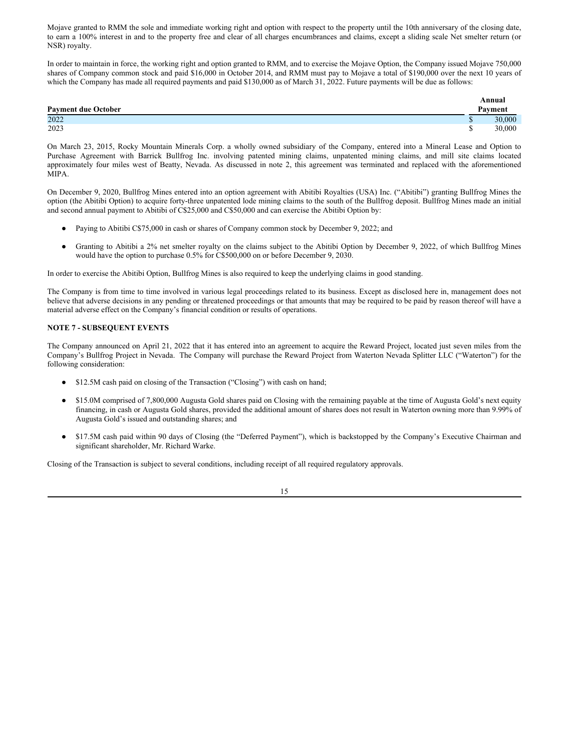Mojave granted to RMM the sole and immediate working right and option with respect to the property until the 10th anniversary of the closing date, to earn a 100% interest in and to the property free and clear of all charges encumbrances and claims, except a sliding scale Net smelter return (or NSR) royalty.

In order to maintain in force, the working right and option granted to RMM, and to exercise the Mojave Option, the Company issued Mojave 750,000 shares of Company common stock and paid \$16,000 in October 2014, and RMM must pay to Mojave a total of \$190,000 over the next 10 years of which the Company has made all required payments and paid \$130,000 as of March 31, 2022. Future payments will be due as follows:

|                            | Annual |         |
|----------------------------|--------|---------|
| <b>Payment due October</b> |        | Payment |
| 2022                       |        | 30,000  |
| 2023                       |        | 30,000  |

On March 23, 2015, Rocky Mountain Minerals Corp. a wholly owned subsidiary of the Company, entered into a Mineral Lease and Option to Purchase Agreement with Barrick Bullfrog Inc. involving patented mining claims, unpatented mining claims, and mill site claims located approximately four miles west of Beatty, Nevada. As discussed in note 2, this agreement was terminated and replaced with the aforementioned MIPA.

On December 9, 2020, Bullfrog Mines entered into an option agreement with Abitibi Royalties (USA) Inc. ("Abitibi") granting Bullfrog Mines the option (the Abitibi Option) to acquire forty-three unpatented lode mining claims to the south of the Bullfrog deposit. Bullfrog Mines made an initial and second annual payment to Abitibi of C\$25,000 and C\$50,000 and can exercise the Abitibi Option by:

- Paying to Abitibi C\$75,000 in cash or shares of Company common stock by December 9, 2022; and
- Granting to Abitibi a 2% net smelter royalty on the claims subject to the Abitibi Option by December 9, 2022, of which Bullfrog Mines would have the option to purchase 0.5% for C\$500,000 on or before December 9, 2030.

In order to exercise the Abitibi Option, Bullfrog Mines is also required to keep the underlying claims in good standing.

The Company is from time to time involved in various legal proceedings related to its business. Except as disclosed here in, management does not believe that adverse decisions in any pending or threatened proceedings or that amounts that may be required to be paid by reason thereof will have a material adverse effect on the Company's financial condition or results of operations.

# **NOTE 7 - SUBSEQUENT EVENTS**

The Company announced on April 21, 2022 that it has entered into an agreement to acquire the Reward Project, located just seven miles from the Company's Bullfrog Project in Nevada. The Company will purchase the Reward Project from Waterton Nevada Splitter LLC ("Waterton") for the following consideration:

- \$12.5M cash paid on closing of the Transaction ("Closing") with cash on hand;
- \$15.0M comprised of 7,800,000 Augusta Gold shares paid on Closing with the remaining payable at the time of Augusta Gold's next equity financing, in cash or Augusta Gold shares, provided the additional amount of shares does not result in Waterton owning more than 9.99% of Augusta Gold's issued and outstanding shares; and
- \$17.5M cash paid within 90 days of Closing (the "Deferred Payment"), which is backstopped by the Company's Executive Chairman and significant shareholder, Mr. Richard Warke.

Closing of the Transaction is subject to several conditions, including receipt of all required regulatory approvals.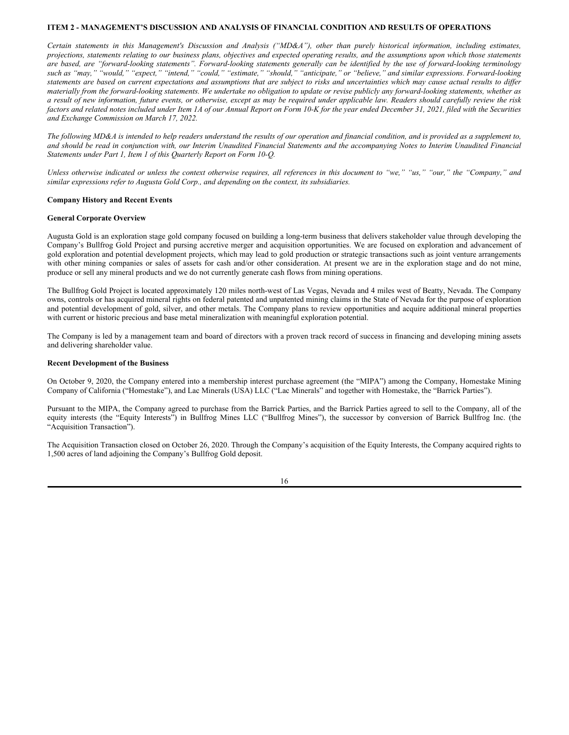### **ITEM 2 - MANAGEMENT'S DISCUSSION AND ANALYSIS OF FINANCIAL CONDITION AND RESULTS OF OPERATIONS**

*Certain statements in this Management's Discussion and Analysis ("MD&A"), other than purely historical information, including estimates, projections, statements relating to our business plans, objectives and expected operating results, and the assumptions upon which those statements are based, are "forward-looking statements". Forward-looking statements generally can be identified by the use of forward-looking terminology such as "may," "would," "expect," "intend," "could," "estimate," "should," "anticipate," or "believe," and similar expressions. Forward-looking statements are based on current expectations and assumptions that are subject to risks and uncertainties which may cause actual results to differ materially from the forward-looking statements. We undertake no obligation to update or revise publicly any forward-looking statements, whether as a result of new information, future events, or otherwise, except as may be required under applicable law. Readers should carefully review the risk factors and related notes included under Item 1A of our Annual Report on Form 10-K for the year ended December 31, 2021, filed with the Securities and Exchange Commission on March 17, 2022.*

*The following MD&A is intended to help readers understand the results of our operation and financial condition, and is provided as a supplement to, and should be read in conjunction with, our Interim Unaudited Financial Statements and the accompanying Notes to Interim Unaudited Financial Statements under Part 1, Item 1 of this Quarterly Report on Form 10-Q.*

*Unless otherwise indicated or unless the context otherwise requires, all references in this document to "we," "us," "our," the "Company," and similar expressions refer to Augusta Gold Corp., and depending on the context, its subsidiaries.*

#### **Company History and Recent Events**

#### **General Corporate Overview**

Augusta Gold is an exploration stage gold company focused on building a long-term business that delivers stakeholder value through developing the Company's Bullfrog Gold Project and pursing accretive merger and acquisition opportunities. We are focused on exploration and advancement of gold exploration and potential development projects, which may lead to gold production or strategic transactions such as joint venture arrangements with other mining companies or sales of assets for cash and/or other consideration. At present we are in the exploration stage and do not mine, produce or sell any mineral products and we do not currently generate cash flows from mining operations.

The Bullfrog Gold Project is located approximately 120 miles north-west of Las Vegas, Nevada and 4 miles west of Beatty, Nevada. The Company owns, controls or has acquired mineral rights on federal patented and unpatented mining claims in the State of Nevada for the purpose of exploration and potential development of gold, silver, and other metals. The Company plans to review opportunities and acquire additional mineral properties with current or historic precious and base metal mineralization with meaningful exploration potential.

The Company is led by a management team and board of directors with a proven track record of success in financing and developing mining assets and delivering shareholder value.

#### **Recent Development of the Business**

On October 9, 2020, the Company entered into a membership interest purchase agreement (the "MIPA") among the Company, Homestake Mining Company of California ("Homestake"), and Lac Minerals (USA) LLC ("Lac Minerals" and together with Homestake, the "Barrick Parties").

Pursuant to the MIPA, the Company agreed to purchase from the Barrick Parties, and the Barrick Parties agreed to sell to the Company, all of the equity interests (the "Equity Interests") in Bullfrog Mines LLC ("Bullfrog Mines"), the successor by conversion of Barrick Bullfrog Inc. (the "Acquisition Transaction").

The Acquisition Transaction closed on October 26, 2020. Through the Company's acquisition of the Equity Interests, the Company acquired rights to 1,500 acres of land adjoining the Company's Bullfrog Gold deposit.

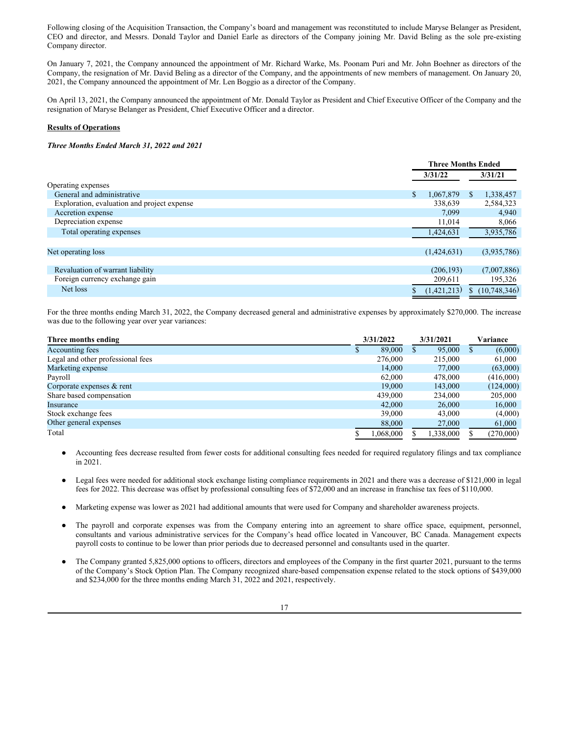Following closing of the Acquisition Transaction, the Company's board and management was reconstituted to include Maryse Belanger as President, CEO and director, and Messrs. Donald Taylor and Daniel Earle as directors of the Company joining Mr. David Beling as the sole pre-existing Company director.

On January 7, 2021, the Company announced the appointment of Mr. Richard Warke, Ms. Poonam Puri and Mr. John Boehner as directors of the Company, the resignation of Mr. David Beling as a director of the Company, and the appointments of new members of management. On January 20, 2021, the Company announced the appointment of Mr. Len Boggio as a director of the Company.

On April 13, 2021, the Company announced the appointment of Mr. Donald Taylor as President and Chief Executive Officer of the Company and the resignation of Maryse Belanger as President, Chief Executive Officer and a director.

## **Results of Operations**

### *Three Months Ended March 31, 2022 and 2021*

|                                             | <b>Three Months Ended</b> |     |                |  |
|---------------------------------------------|---------------------------|-----|----------------|--|
|                                             | 3/31/22                   |     | 3/31/21        |  |
| Operating expenses                          |                           |     |                |  |
| General and administrative                  | \$<br>1,067,879           | S.  | 1,338,457      |  |
| Exploration, evaluation and project expense | 338,639                   |     | 2,584,323      |  |
| Accretion expense                           | 7.099                     |     | 4,940          |  |
| Depreciation expense                        | 11,014                    |     | 8,066          |  |
| Total operating expenses                    | 1,424,631                 |     | 3,935,786      |  |
| Net operating loss                          | (1,424,631)               |     | (3,935,786)    |  |
|                                             |                           |     |                |  |
| Revaluation of warrant liability            | (206, 193)                |     | (7,007,886)    |  |
| Foreign currency exchange gain              | 209,611                   |     | 195,326        |  |
| Net loss                                    | (1,421,213)               | \$. | (10, 748, 346) |  |

For the three months ending March 31, 2022, the Company decreased general and administrative expenses by approximately \$270,000. The increase was due to the following year over year variances:

| Three months ending               | 3/31/2022 |  | 3/31/2021 |  | Variance  |  |
|-----------------------------------|-----------|--|-----------|--|-----------|--|
| Accounting fees                   | 89,000    |  | 95,000    |  | (6,000)   |  |
| Legal and other professional fees | 276,000   |  | 215,000   |  | 61,000    |  |
| Marketing expense                 | 14,000    |  | 77,000    |  | (63,000)  |  |
| Payroll                           | 62,000    |  | 478,000   |  | (416,000) |  |
| Corporate expenses & rent         | 19,000    |  | 143,000   |  | (124,000) |  |
| Share based compensation          | 439,000   |  | 234,000   |  | 205,000   |  |
| Insurance                         | 42,000    |  | 26,000    |  | 16,000    |  |
| Stock exchange fees               | 39,000    |  | 43,000    |  | (4,000)   |  |
| Other general expenses            | 88,000    |  | 27,000    |  | 61,000    |  |
| Total                             | .068.000  |  | 1,338,000 |  | (270,000) |  |

● Accounting fees decrease resulted from fewer costs for additional consulting fees needed for required regulatory filings and tax compliance in 2021.

- Legal fees were needed for additional stock exchange listing compliance requirements in 2021 and there was a decrease of \$121,000 in legal fees for 2022. This decrease was offset by professional consulting fees of \$72,000 and an increase in franchise tax fees of \$110,000.
- Marketing expense was lower as 2021 had additional amounts that were used for Company and shareholder awareness projects.
- The payroll and corporate expenses was from the Company entering into an agreement to share office space, equipment, personnel, consultants and various administrative services for the Company's head office located in Vancouver, BC Canada. Management expects payroll costs to continue to be lower than prior periods due to decreased personnel and consultants used in the quarter.
- The Company granted 5,825,000 options to officers, directors and employees of the Company in the first quarter 2021, pursuant to the terms of the Company's Stock Option Plan. The Company recognized share-based compensation expense related to the stock options of \$439,000 and \$234,000 for the three months ending March 31, 2022 and 2021, respectively.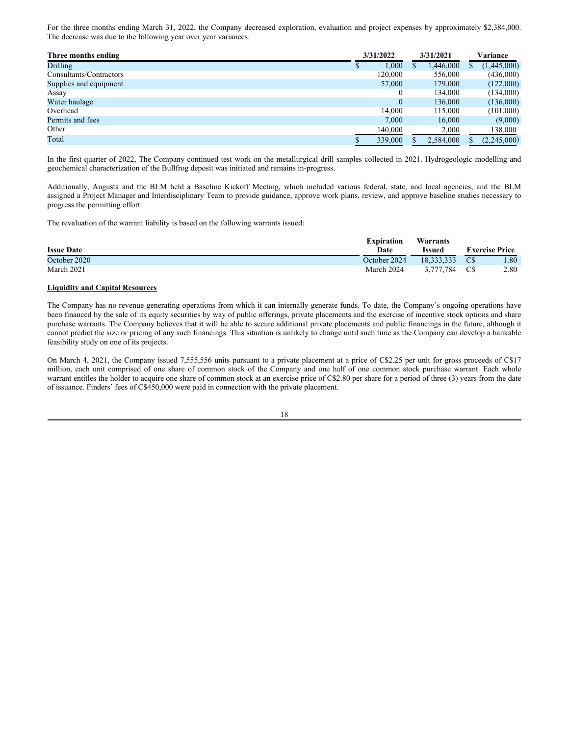For the three months ending March 31, 2022, the Company decreased exploration, evaluation and project expenses by approximately \$2,384,000. The decrease was due to the following year over year variances:

| Three months ending     | 3/31/2022 |          | 3/31/2021 |           |  | Variance    |  |  |
|-------------------------|-----------|----------|-----------|-----------|--|-------------|--|--|
| <b>Drilling</b>         |           | 1,000    |           | 1,446,000 |  | (1,445,000) |  |  |
| Consultants/Contractors |           | 120,000  |           | 556,000   |  | (436,000)   |  |  |
| Supplies and equipment  |           | 57,000   |           | 179,000   |  | (122,000)   |  |  |
| Assay                   |           | 0        |           | 134,000   |  | (134,000)   |  |  |
| Water haulage           |           | $\theta$ |           | 136,000   |  | (136,000)   |  |  |
| Overhead                |           | 14.000   |           | 115,000   |  | (101,000)   |  |  |
| Permits and fees        |           | 7.000    |           | 16,000    |  | (9,000)     |  |  |
| Other                   |           | 140,000  |           | 2,000     |  | 138,000     |  |  |
| Total                   |           | 339,000  |           | 2,584,000 |  | (2,245,000) |  |  |

In the first quarter of 2022, The Company continued test work on the metallurgical drill samples collected in 2021. Hydrogeologic modelling and geochemical characterization of the Bullfrog deposit was initiated and remains in-progress.

Additionally, Augusta and the BLM held a Baseline Kickoff Meeting, which included various federal, state, and local agencies, and the BLM assigned a Project Manager and Interdisciplinary Team to provide guidance, approve work plans, review, and approve baseline studies necessary to progress the permitting effort.

The revaluation of the warrant liability is based on the following warrants issued:

|                   | <b>Expiration</b> | Warrants   |                       |      |
|-------------------|-------------------|------------|-----------------------|------|
| <b>Issue Date</b> | Date              | Issued     | <b>Exercise Price</b> |      |
| October 2020      | October 2024      | 18.333.333 | $C\$                  | 08.1 |
| March 2021        | March 2024        | 3.777.784  | C\$                   | 2.80 |

#### **Liquidity and Capital Resources**

The Company has no revenue generating operations from which it can internally generate funds. To date, the Company's ongoing operations have been financed by the sale of its equity securities by way of public offerings, private placements and the exercise of incentive stock options and share purchase warrants. The Company believes that it will be able to secure additional private placements and public financings in the future, although it cannot predict the size or pricing of any such financings. This situation is unlikely to change until such time as the Company can develop a bankable feasibility study on one of its projects.

On March 4, 2021, the Company issued 7,555,556 units pursuant to a private placement at a price of C\$2.25 per unit for gross proceeds of C\$17 million, each unit comprised of one share of common stock of the Company and one half of one common stock purchase warrant. Each whole warrant entitles the holder to acquire one share of common stock at an exercise price of C\$2.80 per share for a period of three (3) years from the date of issuance. Finders' fees of C\$450,000 were paid in connection with the private placement.

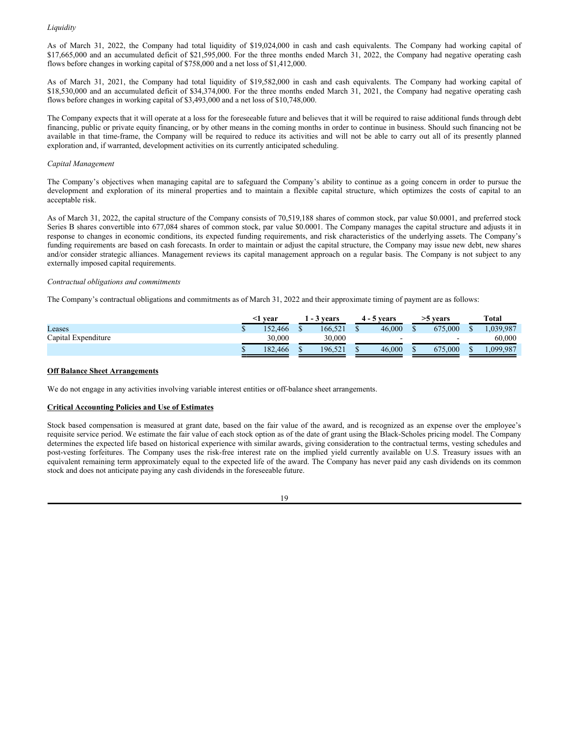### *Liquidity*

As of March 31, 2022, the Company had total liquidity of \$19,024,000 in cash and cash equivalents. The Company had working capital of \$17,665,000 and an accumulated deficit of \$21,595,000. For the three months ended March 31, 2022, the Company had negative operating cash flows before changes in working capital of \$758,000 and a net loss of \$1,412,000.

As of March 31, 2021, the Company had total liquidity of \$19,582,000 in cash and cash equivalents. The Company had working capital of \$18,530,000 and an accumulated deficit of \$34,374,000. For the three months ended March 31, 2021, the Company had negative operating cash flows before changes in working capital of \$3,493,000 and a net loss of \$10,748,000.

The Company expects that it will operate at a loss for the foreseeable future and believes that it will be required to raise additional funds through debt financing, public or private equity financing, or by other means in the coming months in order to continue in business. Should such financing not be available in that time-frame, the Company will be required to reduce its activities and will not be able to carry out all of its presently planned exploration and, if warranted, development activities on its currently anticipated scheduling.

#### *Capital Management*

The Company's objectives when managing capital are to safeguard the Company's ability to continue as a going concern in order to pursue the development and exploration of its mineral properties and to maintain a flexible capital structure, which optimizes the costs of capital to an acceptable risk.

As of March 31, 2022, the capital structure of the Company consists of 70,519,188 shares of common stock, par value \$0.0001, and preferred stock Series B shares convertible into 677,084 shares of common stock, par value \$0.0001. The Company manages the capital structure and adjusts it in response to changes in economic conditions, its expected funding requirements, and risk characteristics of the underlying assets. The Company's funding requirements are based on cash forecasts. In order to maintain or adjust the capital structure, the Company may issue new debt, new shares and/or consider strategic alliances. Management reviews its capital management approach on a regular basis. The Company is not subject to any externally imposed capital requirements.

#### *Contractual obligations and commitments*

The Company's contractual obligations and commitments as of March 31, 2022 and their approximate timing of payment are as follows:

|                     | <1 vear |  | - 3<br>vears |  | $4 - 5$ vears            |             | >5 vears                 |   | Total     |  |
|---------------------|---------|--|--------------|--|--------------------------|-------------|--------------------------|---|-----------|--|
| Leases              | 152,466 |  | 166,521      |  | 46,000                   | ₼           | 675,000                  |   | 1,039,987 |  |
| Capital Expenditure | 30,000  |  | 30,000       |  | $\overline{\phantom{a}}$ |             | $\overline{\phantom{0}}$ |   | 60,000    |  |
|                     | 182.466 |  | 196.521      |  | 46,000                   | $\triangle$ | 675,000                  | ጡ | 1.099.987 |  |

## **Off Balance Sheet Arrangements**

We do not engage in any activities involving variable interest entities or off-balance sheet arrangements.

# **Critical Accounting Policies and Use of Estimates**

Stock based compensation is measured at grant date, based on the fair value of the award, and is recognized as an expense over the employee's requisite service period. We estimate the fair value of each stock option as of the date of grant using the Black-Scholes pricing model. The Company determines the expected life based on historical experience with similar awards, giving consideration to the contractual terms, vesting schedules and post-vesting forfeitures. The Company uses the risk-free interest rate on the implied yield currently available on U.S. Treasury issues with an equivalent remaining term approximately equal to the expected life of the award. The Company has never paid any cash dividends on its common stock and does not anticipate paying any cash dividends in the foreseeable future.

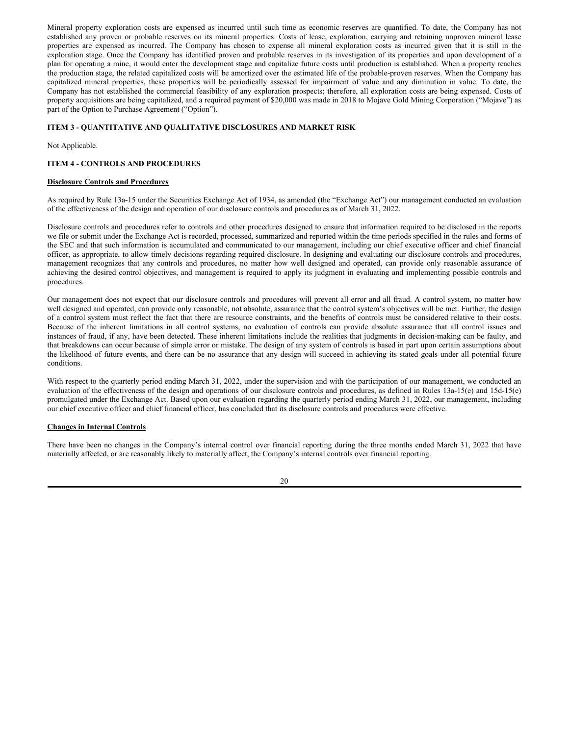Mineral property exploration costs are expensed as incurred until such time as economic reserves are quantified. To date, the Company has not established any proven or probable reserves on its mineral properties. Costs of lease, exploration, carrying and retaining unproven mineral lease properties are expensed as incurred. The Company has chosen to expense all mineral exploration costs as incurred given that it is still in the exploration stage. Once the Company has identified proven and probable reserves in its investigation of its properties and upon development of a plan for operating a mine, it would enter the development stage and capitalize future costs until production is established. When a property reaches the production stage, the related capitalized costs will be amortized over the estimated life of the probable-proven reserves. When the Company has capitalized mineral properties, these properties will be periodically assessed for impairment of value and any diminution in value. To date, the Company has not established the commercial feasibility of any exploration prospects; therefore, all exploration costs are being expensed. Costs of property acquisitions are being capitalized, and a required payment of \$20,000 was made in 2018 to Mojave Gold Mining Corporation ("Mojave") as part of the Option to Purchase Agreement ("Option").

## **ITEM 3 - QUANTITATIVE AND QUALITATIVE DISCLOSURES AND MARKET RISK**

Not Applicable.

## **ITEM 4 - CONTROLS AND PROCEDURES**

#### **Disclosure Controls and Procedures**

As required by Rule 13a-15 under the Securities Exchange Act of 1934, as amended (the "Exchange Act") our management conducted an evaluation of the effectiveness of the design and operation of our disclosure controls and procedures as of March 31, 2022.

Disclosure controls and procedures refer to controls and other procedures designed to ensure that information required to be disclosed in the reports we file or submit under the Exchange Act is recorded, processed, summarized and reported within the time periods specified in the rules and forms of the SEC and that such information is accumulated and communicated to our management, including our chief executive officer and chief financial officer, as appropriate, to allow timely decisions regarding required disclosure. In designing and evaluating our disclosure controls and procedures, management recognizes that any controls and procedures, no matter how well designed and operated, can provide only reasonable assurance of achieving the desired control objectives, and management is required to apply its judgment in evaluating and implementing possible controls and procedures.

Our management does not expect that our disclosure controls and procedures will prevent all error and all fraud. A control system, no matter how well designed and operated, can provide only reasonable, not absolute, assurance that the control system's objectives will be met. Further, the design of a control system must reflect the fact that there are resource constraints, and the benefits of controls must be considered relative to their costs. Because of the inherent limitations in all control systems, no evaluation of controls can provide absolute assurance that all control issues and instances of fraud, if any, have been detected. These inherent limitations include the realities that judgments in decision-making can be faulty, and that breakdowns can occur because of simple error or mistake. The design of any system of controls is based in part upon certain assumptions about the likelihood of future events, and there can be no assurance that any design will succeed in achieving its stated goals under all potential future conditions.

With respect to the quarterly period ending March 31, 2022, under the supervision and with the participation of our management, we conducted an evaluation of the effectiveness of the design and operations of our disclosure controls and procedures, as defined in Rules 13a-15(e) and 15d-15(e) promulgated under the Exchange Act. Based upon our evaluation regarding the quarterly period ending March 31, 2022, our management, including our chief executive officer and chief financial officer, has concluded that its disclosure controls and procedures were effective.

#### **Changes in Internal Controls**

There have been no changes in the Company's internal control over financial reporting during the three months ended March 31, 2022 that have materially affected, or are reasonably likely to materially affect, the Company's internal controls over financial reporting.

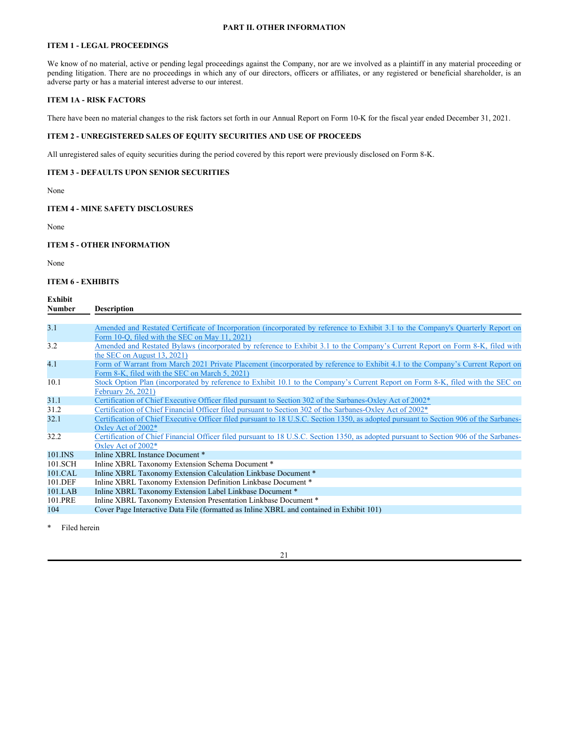# **PART II. OTHER INFORMATION**

# **ITEM 1 - LEGAL PROCEEDINGS**

We know of no material, active or pending legal proceedings against the Company, nor are we involved as a plaintiff in any material proceeding or pending litigation. There are no proceedings in which any of our directors, officers or affiliates, or any registered or beneficial shareholder, is an adverse party or has a material interest adverse to our interest.

# **ITEM 1A - RISK FACTORS**

There have been no material changes to the risk factors set forth in our Annual Report on Form 10-K for the fiscal year ended December 31, 2021.

# **ITEM 2 - UNREGISTERED SALES OF EQUITY SECURITIES AND USE OF PROCEEDS**

All unregistered sales of equity securities during the period covered by this report were previously disclosed on Form 8-K.

# **ITEM 3 - DEFAULTS UPON SENIOR SECURITIES**

None

# **ITEM 4 - MINE SAFETY DISCLOSURES**

None

# **ITEM 5 - OTHER INFORMATION**

None

# **ITEM 6 - EXHIBITS**

# **Exhibit**

| Number  | <b>Description</b>                                                                                                                     |
|---------|----------------------------------------------------------------------------------------------------------------------------------------|
|         |                                                                                                                                        |
| 3.1     | Amended and Restated Certificate of Incorporation (incorporated by reference to Exhibit 3.1 to the Company's Quarterly Report on       |
|         | Form 10-O, filed with the SEC on May $11, 2021$ )                                                                                      |
| 3.2     | Amended and Restated Bylaws (incorporated by reference to Exhibit 3.1 to the Company's Current Report on Form 8-K, filed with          |
|         | the SEC on August $13, 2021$ )                                                                                                         |
| 4.1     | Form of Warrant from March 2021 Private Placement (incorporated by reference to Exhibit 4.1 to the Company's Current Report on         |
|         | Form 8-K, filed with the SEC on March 5, 2021)                                                                                         |
| 10.1    | Stock Option Plan (incorporated by reference to Exhibit 10.1 to the Company's Current Report on Form 8-K, filed with the SEC on        |
|         | February 26, 2021)                                                                                                                     |
| 31.1    | Certification of Chief Executive Officer filed pursuant to Section 302 of the Sarbanes-Oxley Act of 2002 <sup>*</sup>                  |
| 31.2    | Certification of Chief Financial Officer filed pursuant to Section 302 of the Sarbanes-Oxley Act of 2002 <sup>*</sup>                  |
| 32.1    | Certification of Chief Executive Officer filed pursuant to 18 U.S.C. Section 1350, as adopted pursuant to Section 906 of the Sarbanes- |
|         | Oxley Act of 2002*                                                                                                                     |
| 32.2    | Certification of Chief Financial Officer filed pursuant to 18 U.S.C. Section 1350, as adopted pursuant to Section 906 of the Sarbanes- |
|         | Oxley Act of 2002*                                                                                                                     |
| 101.INS | Inline XBRL Instance Document *                                                                                                        |
| 101.SCH | Inline XBRL Taxonomy Extension Schema Document *                                                                                       |
| 101.CAL | Inline XBRL Taxonomy Extension Calculation Linkbase Document *                                                                         |
| 101.DEF | Inline XBRL Taxonomy Extension Definition Linkbase Document *                                                                          |
| 101.LAB | Inline XBRL Taxonomy Extension Label Linkbase Document *                                                                               |
| 101.PRE | Inline XBRL Taxonomy Extension Presentation Linkbase Document *                                                                        |
| 104     | Cover Page Interactive Data File (formatted as Inline XBRL and contained in Exhibit 101)                                               |

Filed herein

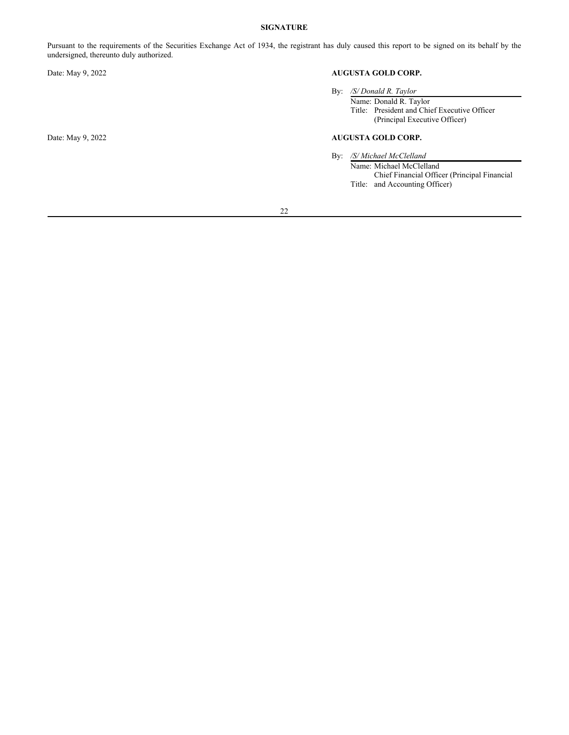# **SIGNATURE**

Pursuant to the requirements of the Securities Exchange Act of 1934, the registrant has duly caused this report to be signed on its behalf by the undersigned, thereunto duly authorized.

# Date: May 9, 2022 **AUGUSTA GOLD CORP.**

By: */S/ Donald R. Taylor*

Name: Donald R. Taylor Title: President and Chief Executive Officer (Principal Executive Officer)

# Date: May 9, 2022 **AUGUSTA GOLD CORP.**

By: */S/ Michael McClelland*

Name: Michael McClelland Title: and Accounting Officer) Chief Financial Officer (Principal Financial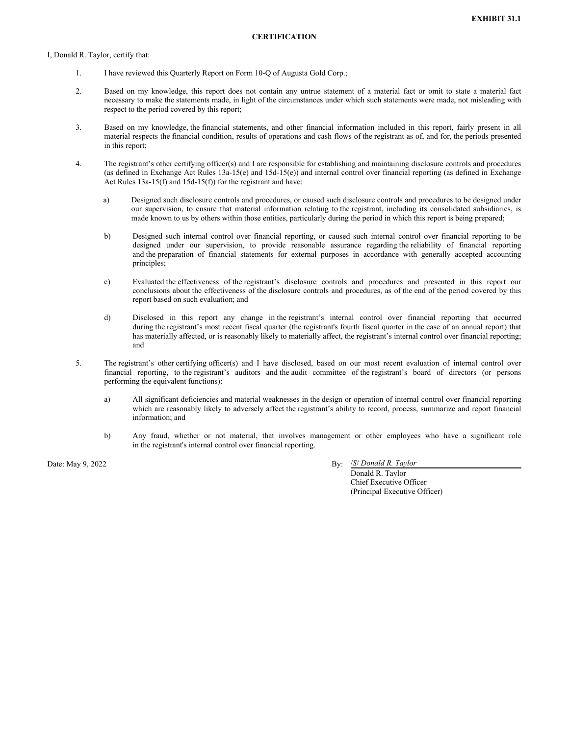## I, Donald R. Taylor, certify that:

- 1. I have reviewed this Quarterly Report on Form 10-Q of Augusta Gold Corp.;
- 2. Based on my knowledge, this report does not contain any untrue statement of a material fact or omit to state a material fact necessary to make the statements made, in light of the circumstances under which such statements were made, not misleading with respect to the period covered by this report;
- 3. Based on my knowledge, the financial statements, and other financial information included in this report, fairly present in all material respects the financial condition, results of operations and cash flows of the registrant as of, and for, the periods presented in this report;
- 4. The registrant's other certifying officer(s) and I are responsible for establishing and maintaining disclosure controls and procedures (as defined in Exchange Act Rules 13a-15(e) and 15d-15(e)) and internal control over financial reporting (as defined in Exchange Act Rules 13a-15(f) and 15d-15(f)) for the registrant and have:
	- a) Designed such disclosure controls and procedures, or caused such disclosure controls and procedures to be designed under our supervision, to ensure that material information relating to the registrant, including its consolidated subsidiaries, is made known to us by others within those entities, particularly during the period in which this report is being prepared;
	- b) Designed such internal control over financial reporting, or caused such internal control over financial reporting to be designed under our supervision, to provide reasonable assurance regarding the reliability of financial reporting and the preparation of financial statements for external purposes in accordance with generally accepted accounting principles;
	- c) Evaluated the effectiveness of the registrant's disclosure controls and procedures and presented in this report our conclusions about the effectiveness of the disclosure controls and procedures, as of the end of the period covered by this report based on such evaluation; and
	- d) Disclosed in this report any change in the registrant's internal control over financial reporting that occurred during the registrant's most recent fiscal quarter (the registrant's fourth fiscal quarter in the case of an annual report) that has materially affected, or is reasonably likely to materially affect, the registrant's internal control over financial reporting; and
- 5. The registrant's other certifying officer(s) and I have disclosed, based on our most recent evaluation of internal control over financial reporting, to the registrant's auditors and the audit committee of the registrant's board of directors (or persons performing the equivalent functions):
	- a) All significant deficiencies and material weaknesses in the design or operation of internal control over financial reporting which are reasonably likely to adversely affect the registrant's ability to record, process, summarize and report financial information; and
	- b) Any fraud, whether or not material, that involves management or other employees who have a significant role in the registrant's internal control over financial reporting.

Date: May 9, 2022 By: /*S*/ *Donald R. Taylor*

Donald R. Taylor Chief Executive Officer (Principal Executive Officer)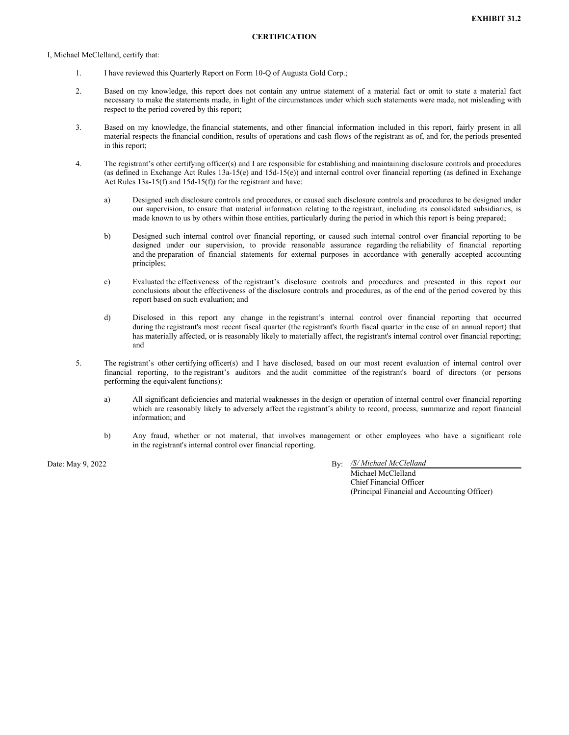### I, Michael McClelland, certify that:

- 1. I have reviewed this Quarterly Report on Form 10-Q of Augusta Gold Corp.;
- 2. Based on my knowledge, this report does not contain any untrue statement of a material fact or omit to state a material fact necessary to make the statements made, in light of the circumstances under which such statements were made, not misleading with respect to the period covered by this report;
- 3. Based on my knowledge, the financial statements, and other financial information included in this report, fairly present in all material respects the financial condition, results of operations and cash flows of the registrant as of, and for, the periods presented in this report;
- 4. The registrant's other certifying officer(s) and I are responsible for establishing and maintaining disclosure controls and procedures (as defined in Exchange Act Rules 13a-15(e) and 15d-15(e)) and internal control over financial reporting (as defined in Exchange Act Rules 13a-15(f) and 15d-15(f)) for the registrant and have:
	- a) Designed such disclosure controls and procedures, or caused such disclosure controls and procedures to be designed under our supervision, to ensure that material information relating to the registrant, including its consolidated subsidiaries, is made known to us by others within those entities, particularly during the period in which this report is being prepared;
	- b) Designed such internal control over financial reporting, or caused such internal control over financial reporting to be designed under our supervision, to provide reasonable assurance regarding the reliability of financial reporting and the preparation of financial statements for external purposes in accordance with generally accepted accounting principles;
	- c) Evaluated the effectiveness of the registrant's disclosure controls and procedures and presented in this report our conclusions about the effectiveness of the disclosure controls and procedures, as of the end of the period covered by this report based on such evaluation; and
	- d) Disclosed in this report any change in the registrant's internal control over financial reporting that occurred during the registrant's most recent fiscal quarter (the registrant's fourth fiscal quarter in the case of an annual report) that has materially affected, or is reasonably likely to materially affect, the registrant's internal control over financial reporting; and
- 5. The registrant's other certifying officer(s) and I have disclosed, based on our most recent evaluation of internal control over financial reporting, to the registrant's auditors and the audit committee of the registrant's board of directors (or persons performing the equivalent functions):
	- a) All significant deficiencies and material weaknesses in the design or operation of internal control over financial reporting which are reasonably likely to adversely affect the registrant's ability to record, process, summarize and report financial information; and
	- b) Any fraud, whether or not material, that involves management or other employees who have a significant role in the registrant's internal control over financial reporting.

Date: May 9, 2022 By: */S/ Michael McClelland* 

Michael McClelland Chief Financial Officer (Principal Financial and Accounting Officer)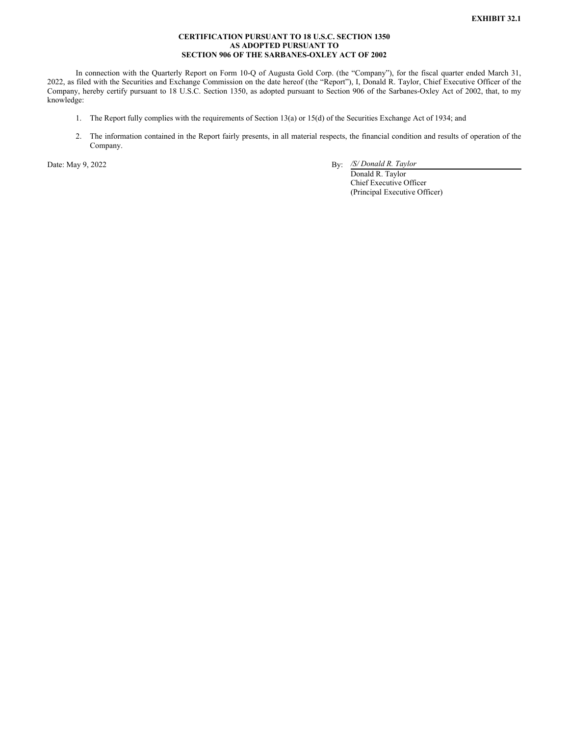# **CERTIFICATION PURSUANT TO 18 U.S.C. SECTION 1350 AS ADOPTED PURSUANT TO SECTION 906 OF THE SARBANES-OXLEY ACT OF 2002**

In connection with the Quarterly Report on Form 10-Q of Augusta Gold Corp. (the "Company"), for the fiscal quarter ended March 31, 2022, as filed with the Securities and Exchange Commission on the date hereof (the "Report"), I, Donald R. Taylor, Chief Executive Officer of the Company, hereby certify pursuant to 18 U.S.C. Section 1350, as adopted pursuant to Section 906 of the Sarbanes-Oxley Act of 2002, that, to my knowledge:

- 1. The Report fully complies with the requirements of Section 13(a) or 15(d) of the Securities Exchange Act of 1934; and
- 2. The information contained in the Report fairly presents, in all material respects, the financial condition and results of operation of the Company.

Date: May 9, 2022 By: */S/ Donald R. Taylor* By: */S/ Donald R. Taylor* 

Donald R. Taylor Chief Executive Officer (Principal Executive Officer)